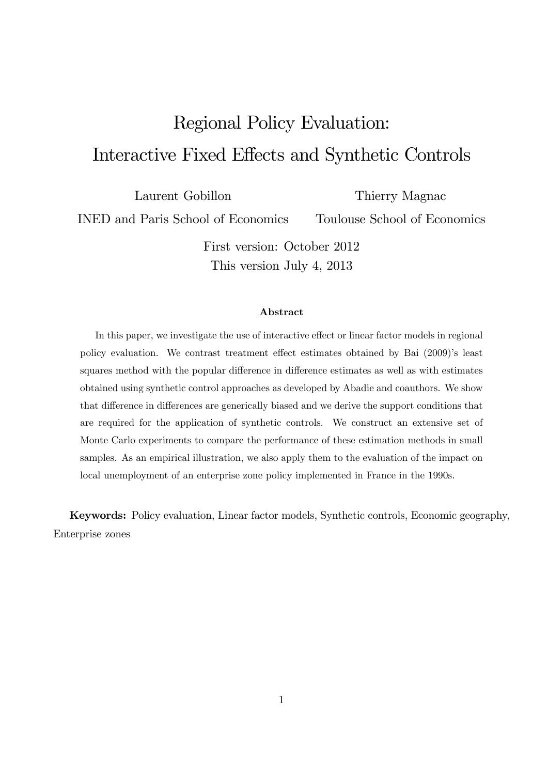# Regional Policy Evaluation: Interactive Fixed Effects and Synthetic Controls

Laurent Gobillon

Thierry Magnac

INED and Paris School of Economics

Toulouse School of Economics

First version: October 2012 This version July 4, 2013

#### Abstract

In this paper, we investigate the use of interactive effect or linear factor models in regional policy evaluation. We contrast treatment effect estimates obtained by Bai (2009)'s least squares method with the popular difference in difference estimates as well as with estimates obtained using synthetic control approaches as developed by Abadie and coauthors. We show that difference in differences are generically biased and we derive the support conditions that are required for the application of synthetic controls. We construct an extensive set of Monte Carlo experiments to compare the performance of these estimation methods in small samples. As an empirical illustration, we also apply them to the evaluation of the impact on local unemployment of an enterprise zone policy implemented in France in the 1990s.

Keywords: Policy evaluation, Linear factor models, Synthetic controls, Economic geography, Enterprise zones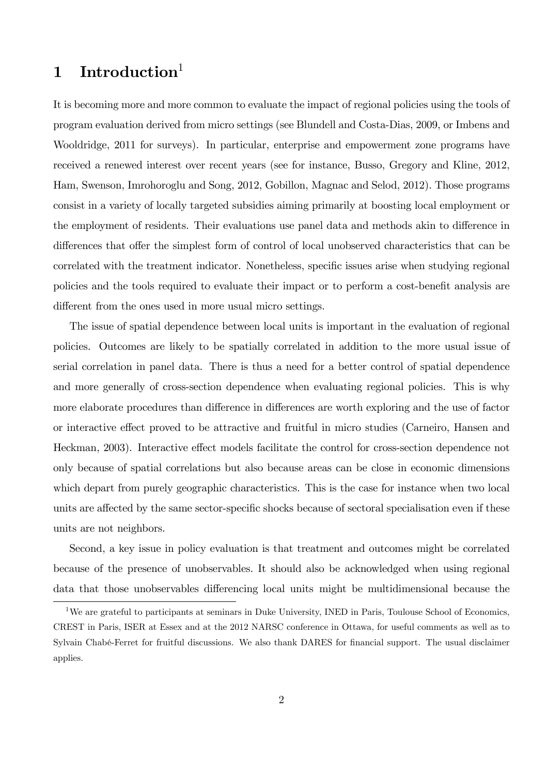# 1 Introduction<sup>1</sup>

It is becoming more and more common to evaluate the impact of regional policies using the tools of program evaluation derived from micro settings (see Blundell and Costa-Dias, 2009, or Imbens and Wooldridge, 2011 for surveys). In particular, enterprise and empowerment zone programs have received a renewed interest over recent years (see for instance, Busso, Gregory and Kline, 2012, Ham, Swenson, Imrohoroglu and Song, 2012, Gobillon, Magnac and Selod, 2012). Those programs consist in a variety of locally targeted subsidies aiming primarily at boosting local employment or the employment of residents. Their evaluations use panel data and methods akin to difference in differences that offer the simplest form of control of local unobserved characteristics that can be correlated with the treatment indicator. Nonetheless, specific issues arise when studying regional policies and the tools required to evaluate their impact or to perform a cost-benefit analysis are different from the ones used in more usual micro settings.

The issue of spatial dependence between local units is important in the evaluation of regional policies. Outcomes are likely to be spatially correlated in addition to the more usual issue of serial correlation in panel data. There is thus a need for a better control of spatial dependence and more generally of cross-section dependence when evaluating regional policies. This is why more elaborate procedures than difference in differences are worth exploring and the use of factor or interactive effect proved to be attractive and fruitful in micro studies (Carneiro, Hansen and Heckman, 2003). Interactive effect models facilitate the control for cross-section dependence not only because of spatial correlations but also because areas can be close in economic dimensions which depart from purely geographic characteristics. This is the case for instance when two local units are affected by the same sector-specific shocks because of sectoral specialisation even if these units are not neighbors.

Second, a key issue in policy evaluation is that treatment and outcomes might be correlated because of the presence of unobservables. It should also be acknowledged when using regional data that those unobservables differencing local units might be multidimensional because the

<sup>&</sup>lt;sup>1</sup>We are grateful to participants at seminars in Duke University, INED in Paris, Toulouse School of Economics, CREST in Paris, ISER at Essex and at the 2012 NARSC conference in Ottawa, for useful comments as well as to Sylvain Chabé-Ferret for fruitful discussions. We also thank DARES for financial support. The usual disclaimer applies.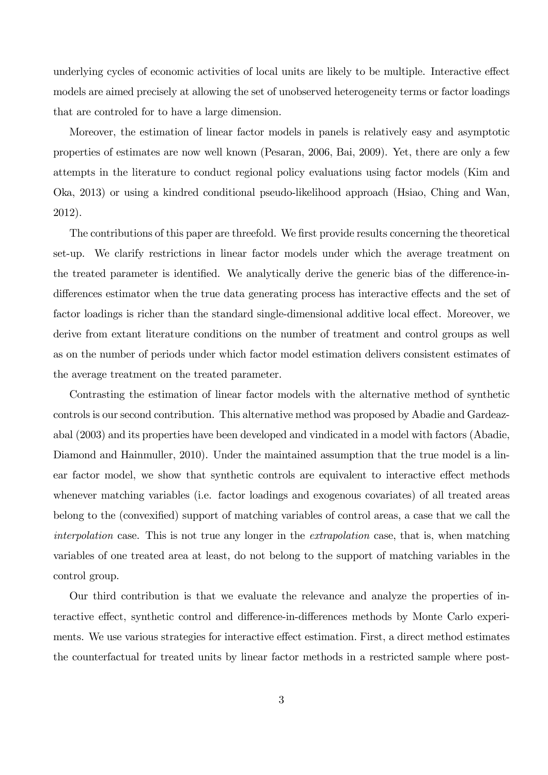underlying cycles of economic activities of local units are likely to be multiple. Interactive effect models are aimed precisely at allowing the set of unobserved heterogeneity terms or factor loadings that are controled for to have a large dimension.

Moreover, the estimation of linear factor models in panels is relatively easy and asymptotic properties of estimates are now well known (Pesaran, 2006, Bai, 2009). Yet, there are only a few attempts in the literature to conduct regional policy evaluations using factor models (Kim and Oka, 2013) or using a kindred conditional pseudo-likelihood approach (Hsiao, Ching and Wan, 2012).

The contributions of this paper are threefold. We first provide results concerning the theoretical set-up. We clarify restrictions in linear factor models under which the average treatment on the treated parameter is identified. We analytically derive the generic bias of the difference-indifferences estimator when the true data generating process has interactive effects and the set of factor loadings is richer than the standard single-dimensional additive local effect. Moreover, we derive from extant literature conditions on the number of treatment and control groups as well as on the number of periods under which factor model estimation delivers consistent estimates of the average treatment on the treated parameter.

Contrasting the estimation of linear factor models with the alternative method of synthetic controls is our second contribution. This alternative method was proposed by Abadie and Gardeazabal (2003) and its properties have been developed and vindicated in a model with factors (Abadie, Diamond and Hainmuller, 2010). Under the maintained assumption that the true model is a linear factor model, we show that synthetic controls are equivalent to interactive effect methods whenever matching variables (i.e. factor loadings and exogenous covariates) of all treated areas belong to the (convexified) support of matching variables of control areas, a case that we call the interpolation case. This is not true any longer in the extrapolation case, that is, when matching variables of one treated area at least, do not belong to the support of matching variables in the control group.

Our third contribution is that we evaluate the relevance and analyze the properties of interactive effect, synthetic control and difference-in-differences methods by Monte Carlo experiments. We use various strategies for interactive effect estimation. First, a direct method estimates the counterfactual for treated units by linear factor methods in a restricted sample where post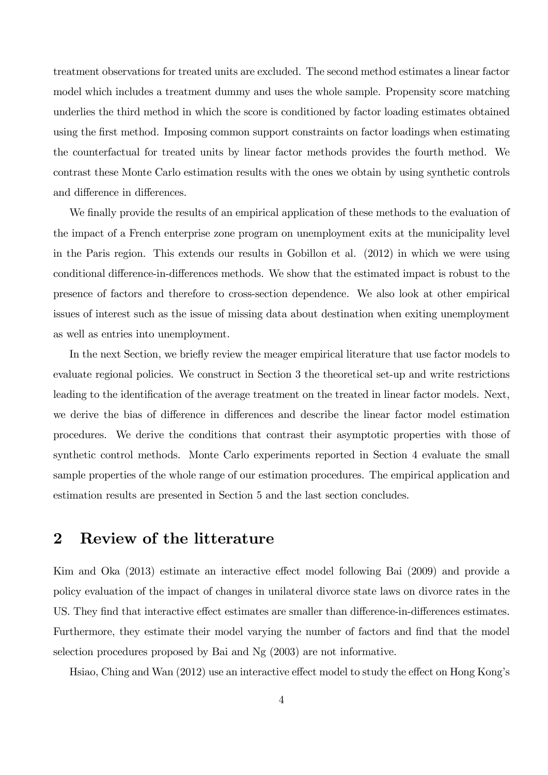treatment observations for treated units are excluded. The second method estimates a linear factor model which includes a treatment dummy and uses the whole sample. Propensity score matching underlies the third method in which the score is conditioned by factor loading estimates obtained using the first method. Imposing common support constraints on factor loadings when estimating the counterfactual for treated units by linear factor methods provides the fourth method. We contrast these Monte Carlo estimation results with the ones we obtain by using synthetic controls and difference in differences.

We finally provide the results of an empirical application of these methods to the evaluation of the impact of a French enterprise zone program on unemployment exits at the municipality level in the Paris region. This extends our results in Gobillon et al. (2012) in which we were using conditional difference-in-differences methods. We show that the estimated impact is robust to the presence of factors and therefore to cross-section dependence. We also look at other empirical issues of interest such as the issue of missing data about destination when exiting unemployment as well as entries into unemployment.

In the next Section, we briefly review the meager empirical literature that use factor models to evaluate regional policies. We construct in Section 3 the theoretical set-up and write restrictions leading to the identification of the average treatment on the treated in linear factor models. Next, we derive the bias of difference in differences and describe the linear factor model estimation procedures. We derive the conditions that contrast their asymptotic properties with those of synthetic control methods. Monte Carlo experiments reported in Section 4 evaluate the small sample properties of the whole range of our estimation procedures. The empirical application and estimation results are presented in Section 5 and the last section concludes.

# 2 Review of the litterature

Kim and Oka (2013) estimate an interactive effect model following Bai (2009) and provide a policy evaluation of the impact of changes in unilateral divorce state laws on divorce rates in the US. They find that interactive effect estimates are smaller than difference-in-differences estimates. Furthermore, they estimate their model varying the number of factors and find that the model selection procedures proposed by Bai and Ng (2003) are not informative.

Hsiao, Ching and Wan  $(2012)$  use an interactive effect model to study the effect on Hong Kong's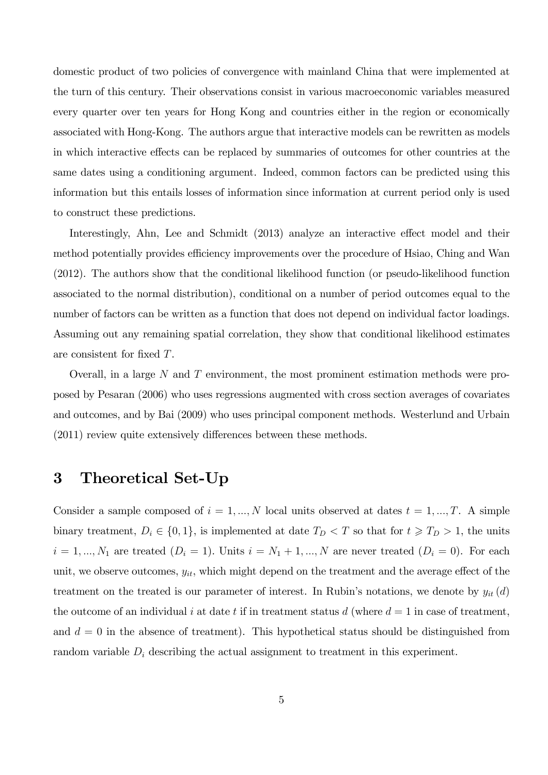domestic product of two policies of convergence with mainland China that were implemented at the turn of this century. Their observations consist in various macroeconomic variables measured every quarter over ten years for Hong Kong and countries either in the region or economically associated with Hong-Kong. The authors argue that interactive models can be rewritten as models in which interactive effects can be replaced by summaries of outcomes for other countries at the same dates using a conditioning argument. Indeed, common factors can be predicted using this information but this entails losses of information since information at current period only is used to construct these predictions.

Interestingly, Ahn, Lee and Schmidt  $(2013)$  analyze an interactive effect model and their method potentially provides efficiency improvements over the procedure of Hsiao, Ching and Wan (2012). The authors show that the conditional likelihood function (or pseudo-likelihood function associated to the normal distribution), conditional on a number of period outcomes equal to the number of factors can be written as a function that does not depend on individual factor loadings. Assuming out any remaining spatial correlation, they show that conditional likelihood estimates are consistent for fixed  $T$ .

Overall, in a large N and T environment, the most prominent estimation methods were proposed by Pesaran (2006) who uses regressions augmented with cross section averages of covariates and outcomes, and by Bai (2009) who uses principal component methods. Westerlund and Urbain  $(2011)$  review quite extensively differences between these methods.

## 3 Theoretical Set-Up

Consider a sample composed of  $i = 1, ..., N$  local units observed at dates  $t = 1, ..., T$ . A simple binary treatment,  $D_i \in \{0, 1\}$ , is implemented at date  $T_D < T$  so that for  $t \geq T_D > 1$ , the units  $i = 1, ..., N_1$  are treated  $(D_i = 1)$ . Units  $i = N_1 + 1, ..., N$  are never treated  $(D_i = 0)$ . For each unit, we observe outcomes,  $y_{it}$ , which might depend on the treatment and the average effect of the treatment on the treated is our parameter of interest. In Rubin's notations, we denote by  $y_{it}$  (d) the outcome of an individual i at date t if in treatment status d (where  $d = 1$  in case of treatment, and  $d = 0$  in the absence of treatment). This hypothetical status should be distinguished from random variable  $D_i$  describing the actual assignment to treatment in this experiment.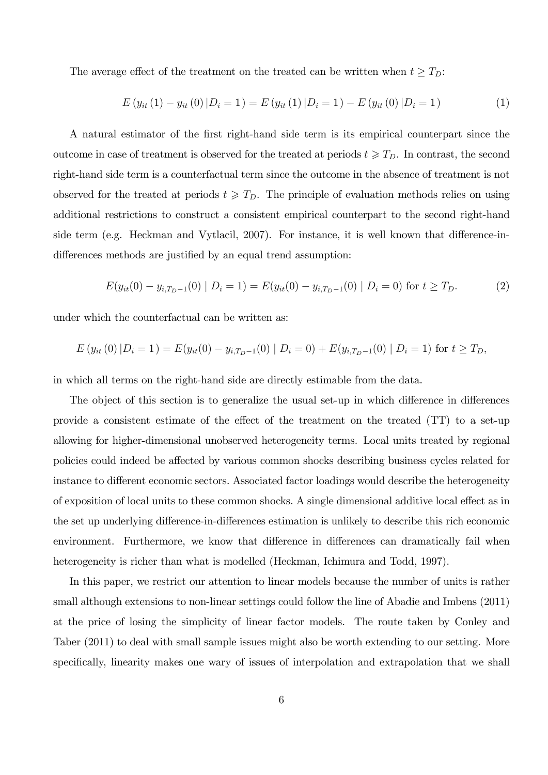The average effect of the treatment on the treated can be written when  $t \geq T_D$ :

$$
E(y_{it}(1) - y_{it}(0) | D_i = 1) = E(y_{it}(1) | D_i = 1) - E(y_{it}(0) | D_i = 1)
$$
\n(1)

A natural estimator of the Örst right-hand side term is its empirical counterpart since the outcome in case of treatment is observed for the treated at periods  $t \geq T_D$ . In contrast, the second right-hand side term is a counterfactual term since the outcome in the absence of treatment is not observed for the treated at periods  $t \geq T_D$ . The principle of evaluation methods relies on using additional restrictions to construct a consistent empirical counterpart to the second right-hand side term (e.g. Heckman and Vytlacil, 2007). For instance, it is well known that difference-indifferences methods are justified by an equal trend assumption:

$$
E(y_{it}(0) - y_{i,T_D-1}(0) | D_i = 1) = E(y_{it}(0) - y_{i,T_D-1}(0) | D_i = 0) \text{ for } t \ge T_D.
$$
 (2)

under which the counterfactual can be written as:

$$
E(y_{it}(0) | D_i = 1) = E(y_{it}(0) - y_{i, T_D - 1}(0) | D_i = 0) + E(y_{i, T_D - 1}(0) | D_i = 1) \text{ for } t \ge T_D,
$$

in which all terms on the right-hand side are directly estimable from the data.

The object of this section is to generalize the usual set-up in which difference in differences provide a consistent estimate of the effect of the treatment on the treated  $(TT)$  to a set-up allowing for higher-dimensional unobserved heterogeneity terms. Local units treated by regional policies could indeed be affected by various common shocks describing business cycles related for instance to different economic sectors. Associated factor loadings would describe the heterogeneity of exposition of local units to these common shocks. A single dimensional additive local effect as in the set up underlying difference-in-differences estimation is unlikely to describe this rich economic environment. Furthermore, we know that difference in differences can dramatically fail when heterogeneity is richer than what is modelled (Heckman, Ichimura and Todd, 1997).

In this paper, we restrict our attention to linear models because the number of units is rather small although extensions to non-linear settings could follow the line of Abadie and Imbens (2011) at the price of losing the simplicity of linear factor models. The route taken by Conley and Taber (2011) to deal with small sample issues might also be worth extending to our setting. More specifically, linearity makes one wary of issues of interpolation and extrapolation that we shall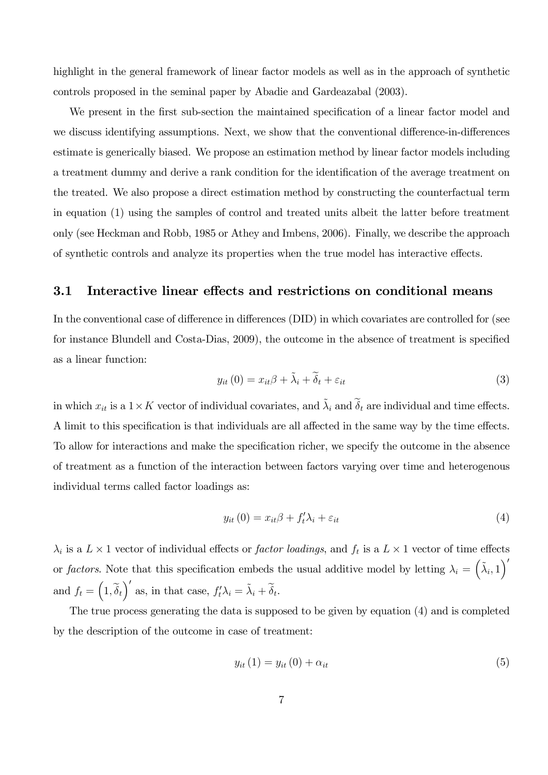highlight in the general framework of linear factor models as well as in the approach of synthetic controls proposed in the seminal paper by Abadie and Gardeazabal (2003).

We present in the first sub-section the maintained specification of a linear factor model and we discuss identifying assumptions. Next, we show that the conventional difference-in-differences estimate is generically biased. We propose an estimation method by linear factor models including a treatment dummy and derive a rank condition for the identification of the average treatment on the treated. We also propose a direct estimation method by constructing the counterfactual term in equation (1) using the samples of control and treated units albeit the latter before treatment only (see Heckman and Robb, 1985 or Athey and Imbens, 2006). Finally, we describe the approach of synthetic controls and analyze its properties when the true model has interactive effects.

#### 3.1 Interactive linear effects and restrictions on conditional means

In the conventional case of difference in differences (DID) in which covariates are controlled for (see for instance Blundell and Costa-Dias, 2009), the outcome in the absence of treatment is specified as a linear function:

$$
y_{it}(0) = x_{it}\beta + \tilde{\lambda}_i + \tilde{\delta}_t + \varepsilon_{it}
$$
\n<sup>(3)</sup>

in which  $x_{it}$  is a  $1 \times K$  vector of individual covariates, and  $\tilde{\lambda}_i$  and  $\tilde{\delta}_t$  are individual and time effects. A limit to this specification is that individuals are all affected in the same way by the time effects. To allow for interactions and make the specification richer, we specify the outcome in the absence of treatment as a function of the interaction between factors varying over time and heterogenous individual terms called factor loadings as:

$$
y_{it}(0) = x_{it}\beta + f'_t\lambda_i + \varepsilon_{it}
$$
\n<sup>(4)</sup>

 $\lambda_i$  is a  $L \times 1$  vector of individual effects or *factor loadings*, and  $f_t$  is a  $L \times 1$  vector of time effects or factors. Note that this specification embeds the usual additive model by letting  $\lambda_i = (\tilde{\lambda}_i, 1)^{\prime}$ and  $f_t = (1, \tilde{\delta}_t)'$  as, in that case,  $f'_t \lambda_i = \tilde{\lambda}_i + \tilde{\delta}_t$ .

The true process generating the data is supposed to be given by equation (4) and is completed by the description of the outcome in case of treatment:

$$
y_{it}(1) = y_{it}(0) + \alpha_{it} \tag{5}
$$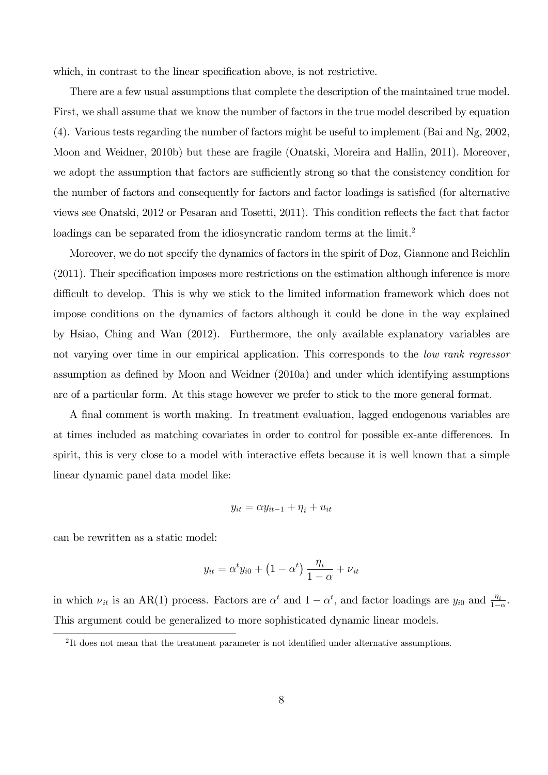which, in contrast to the linear specification above, is not restrictive.

There are a few usual assumptions that complete the description of the maintained true model. First, we shall assume that we know the number of factors in the true model described by equation (4). Various tests regarding the number of factors might be useful to implement (Bai and Ng, 2002, Moon and Weidner, 2010b) but these are fragile (Onatski, Moreira and Hallin, 2011). Moreover, we adopt the assumption that factors are sufficiently strong so that the consistency condition for the number of factors and consequently for factors and factor loadings is satisfied (for alternative views see Onatski, 2012 or Pesaran and Tosetti, 2011). This condition reflects the fact that factor loadings can be separated from the idiosyncratic random terms at the limit.<sup>2</sup>

Moreover, we do not specify the dynamics of factors in the spirit of Doz, Giannone and Reichlin  $(2011)$ . Their specification imposes more restrictions on the estimation although inference is more difficult to develop. This is why we stick to the limited information framework which does not impose conditions on the dynamics of factors although it could be done in the way explained by Hsiao, Ching and Wan (2012). Furthermore, the only available explanatory variables are not varying over time in our empirical application. This corresponds to the *low rank regressor* assumption as defined by Moon and Weidner (2010a) and under which identifying assumptions are of a particular form. At this stage however we prefer to stick to the more general format.

A final comment is worth making. In treatment evaluation, lagged endogenous variables are at times included as matching covariates in order to control for possible ex-ante differences. In spirit, this is very close to a model with interactive effets because it is well known that a simple linear dynamic panel data model like:

$$
y_{it} = \alpha y_{it-1} + \eta_i + u_{it}
$$

can be rewritten as a static model:

$$
y_{it} = \alpha^t y_{i0} + (1 - \alpha^t) \frac{\eta_i}{1 - \alpha} + \nu_{it}
$$

in which  $\nu_{it}$  is an AR(1) process. Factors are  $\alpha^t$  and  $1 - \alpha^t$ , and factor loadings are  $y_{i0}$  and  $\frac{\eta_i}{1 - \alpha}$ . This argument could be generalized to more sophisticated dynamic linear models.

<sup>&</sup>lt;sup>2</sup>It does not mean that the treatment parameter is not identified under alternative assumptions.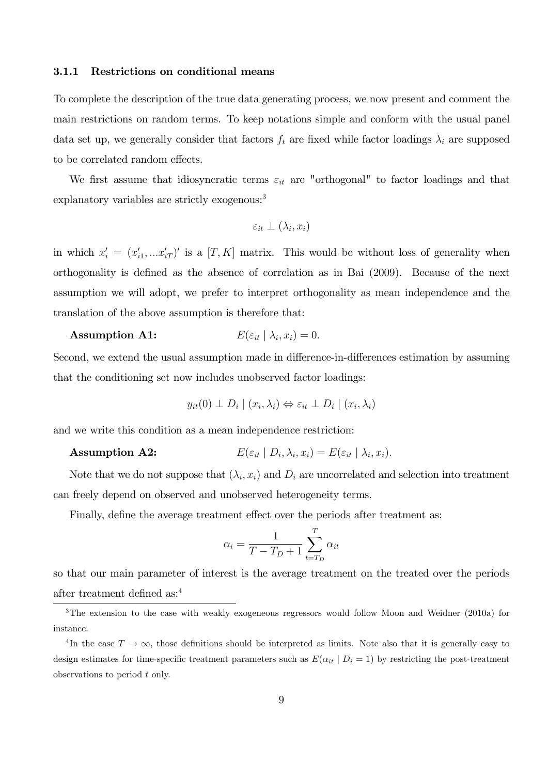#### 3.1.1 Restrictions on conditional means

To complete the description of the true data generating process, we now present and comment the main restrictions on random terms. To keep notations simple and conform with the usual panel data set up, we generally consider that factors  $f_t$  are fixed while factor loadings  $\lambda_i$  are supposed to be correlated random effects.

We first assume that idiosyncratic terms  $\varepsilon_{it}$  are "orthogonal" to factor loadings and that explanatory variables are strictly exogenous:<sup>3</sup>

$$
\varepsilon_{it} \perp (\lambda_i, x_i)
$$

in which  $x'_i = (x'_{i1},...x'_{iT})'$  is a  $[T, K]$  matrix. This would be without loss of generality when orthogonality is defined as the absence of correlation as in Bai (2009). Because of the next assumption we will adopt, we prefer to interpret orthogonality as mean independence and the translation of the above assumption is therefore that:

#### Assumption A1:  $E(\varepsilon_{it} | \lambda_i, x_i) = 0.$

Second, we extend the usual assumption made in difference-in-differences estimation by assuming that the conditioning set now includes unobserved factor loadings:

$$
y_{it}(0) \perp D_i \mid (x_i, \lambda_i) \Leftrightarrow \varepsilon_{it} \perp D_i \mid (x_i, \lambda_i)
$$

and we write this condition as a mean independence restriction:

#### Assumption A2:  $; \lambda_i, x_i) = E(\varepsilon_{it} \mid \lambda_i, x_i).$

Note that we do not suppose that  $(\lambda_i, x_i)$  and  $D_i$  are uncorrelated and selection into treatment can freely depend on observed and unobserved heterogeneity terms.

Finally, define the average treatment effect over the periods after treatment as:

$$
\alpha_i = \frac{1}{T - T_D + 1} \sum_{t = T_D}^{T} \alpha_{it}
$$

so that our main parameter of interest is the average treatment on the treated over the periods after treatment defined as: $4$ 

<sup>&</sup>lt;sup>3</sup>The extension to the case with weakly exogeneous regressors would follow Moon and Weidner (2010a) for instance.

<sup>&</sup>lt;sup>4</sup>In the case  $T \to \infty$ , those definitions should be interpreted as limits. Note also that it is generally easy to design estimates for time-specific treatment parameters such as  $E(\alpha_{it} | D_i = 1)$  by restricting the post-treatment observations to period t only.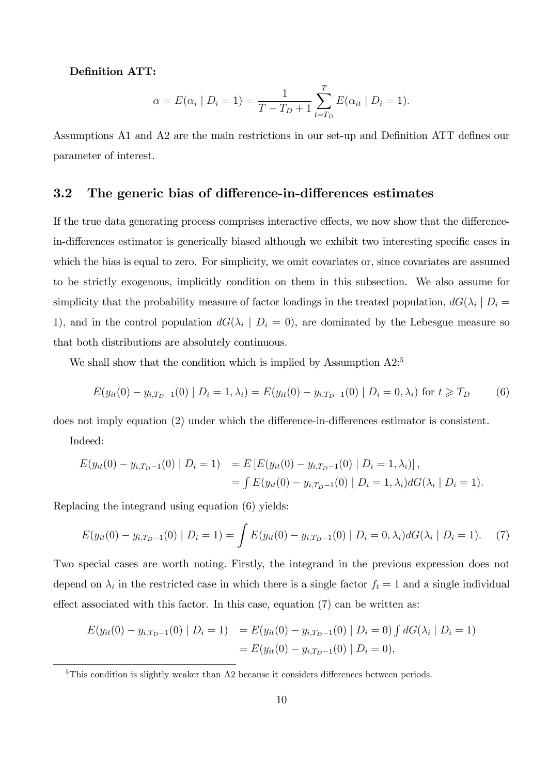#### Definition ATT:

$$
\alpha = E(\alpha_i | D_i = 1) = \frac{1}{T - T_D + 1} \sum_{t = T_D}^{T} E(\alpha_{it} | D_i = 1).
$$

Assumptions A1 and A2 are the main restrictions in our set-up and Definition ATT defines our parameter of interest.

#### 3.2 The generic bias of difference-in-differences estimates

If the true data generating process comprises interactive effects, we now show that the differencein-differences estimator is generically biased although we exhibit two interesting specific cases in which the bias is equal to zero. For simplicity, we omit covariates or, since covariates are assumed to be strictly exogenous, implicitly condition on them in this subsection. We also assume for simplicity that the probability measure of factor loadings in the treated population,  $dG(\lambda_i | D_i =$ 1), and in the control population  $dG(\lambda_i \mid D_i = 0)$ , are dominated by the Lebesgue measure so that both distributions are absolutely continuous.

We shall show that the condition which is implied by Assumption  $A2:5$ 

$$
E(y_{it}(0) - y_{i,T_D-1}(0) | D_i = 1, \lambda_i) = E(y_{it}(0) - y_{i,T_D-1}(0) | D_i = 0, \lambda_i) \text{ for } t \ge T_D
$$
 (6)

does not imply equation  $(2)$  under which the difference-in-differences estimator is consistent.

Indeed:

$$
E(y_{it}(0) - y_{i,T_D-1}(0) | D_i = 1) = E [E(y_{it}(0) - y_{i,T_D-1}(0) | D_i = 1, \lambda_i)],
$$
  
=  $\int E(y_{it}(0) - y_{i,T_D-1}(0) | D_i = 1, \lambda_i) dG(\lambda_i | D_i = 1).$ 

Replacing the integrand using equation (6) yields:

$$
E(y_{it}(0) - y_{i,T_D-1}(0) | D_i = 1) = \int E(y_{it}(0) - y_{i,T_D-1}(0) | D_i = 0, \lambda_i) dG(\lambda_i | D_i = 1).
$$
 (7)

Two special cases are worth noting. Firstly, the integrand in the previous expression does not depend on  $\lambda_i$  in the restricted case in which there is a single factor  $f_t = 1$  and a single individual effect associated with this factor. In this case, equation  $(7)$  can be written as:

$$
E(y_{it}(0) - y_{i,T_D-1}(0) | D_i = 1) = E(y_{it}(0) - y_{i,T_D-1}(0) | D_i = 0) \int dG(\lambda_i | D_i = 1)
$$
  
= 
$$
E(y_{it}(0) - y_{i,T_D-1}(0) | D_i = 0),
$$

 $5$ This condition is slightly weaker than A2 because it considers differences between periods.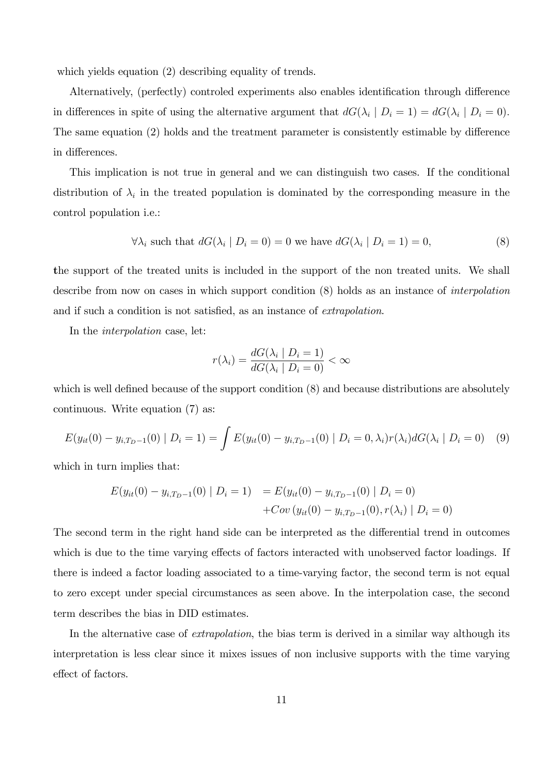which yields equation (2) describing equality of trends.

Alternatively, (perfectly) controled experiments also enables identification through difference in differences in spite of using the alternative argument that  $dG(\lambda_i \mid D_i = 1) = dG(\lambda_i \mid D_i = 0)$ . The same equation  $(2)$  holds and the treatment parameter is consistently estimable by difference in differences.

This implication is not true in general and we can distinguish two cases. If the conditional distribution of  $\lambda_i$  in the treated population is dominated by the corresponding measure in the control population i.e.:

$$
\forall \lambda_i \text{ such that } dG(\lambda_i \mid D_i = 0) = 0 \text{ we have } dG(\lambda_i \mid D_i = 1) = 0,
$$
\n(8)

the support of the treated units is included in the support of the non treated units. We shall describe from now on cases in which support condition (8) holds as an instance of interpolation and if such a condition is not satisfied, as an instance of *extrapolation*.

In the interpolation case, let:

$$
r(\lambda_i) = \frac{dG(\lambda_i \mid D_i = 1)}{dG(\lambda_i \mid D_i = 0)} < \infty
$$

which is well defined because of the support condition  $(8)$  and because distributions are absolutely continuous. Write equation (7) as:

$$
E(y_{it}(0) - y_{i,T_D-1}(0) | D_i = 1) = \int E(y_{it}(0) - y_{i,T_D-1}(0) | D_i = 0, \lambda_i) r(\lambda_i) dG(\lambda_i | D_i = 0)
$$
 (9)

which in turn implies that:

$$
E(y_{it}(0) - y_{i,T_D-1}(0) | D_i = 1) = E(y_{it}(0) - y_{i,T_D-1}(0) | D_i = 0)
$$
  
+
$$
Cov(y_{it}(0) - y_{i,T_D-1}(0), r(\lambda_i) | D_i = 0)
$$

The second term in the right hand side can be interpreted as the differential trend in outcomes which is due to the time varying effects of factors interacted with unobserved factor loadings. If there is indeed a factor loading associated to a time-varying factor, the second term is not equal to zero except under special circumstances as seen above. In the interpolation case, the second term describes the bias in DID estimates.

In the alternative case of *extrapolation*, the bias term is derived in a similar way although its interpretation is less clear since it mixes issues of non inclusive supports with the time varying effect of factors.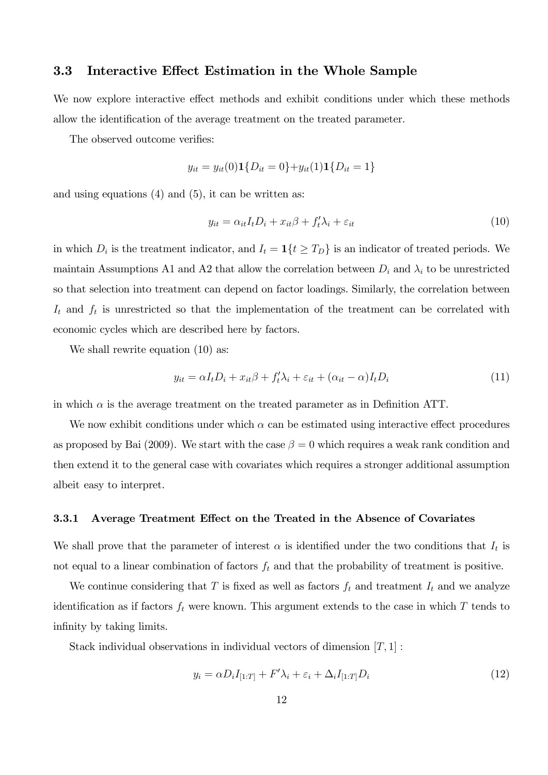#### 3.3 Interactive Effect Estimation in the Whole Sample

We now explore interactive effect methods and exhibit conditions under which these methods allow the identification of the average treatment on the treated parameter.

The observed outcome verifies:

$$
y_{it} = y_{it}(0) \mathbf{1} \{ D_{it} = 0 \} + y_{it}(1) \mathbf{1} \{ D_{it} = 1 \}
$$

and using equations (4) and (5), it can be written as:

$$
y_{it} = \alpha_{it} I_t D_i + x_{it} \beta + f'_t \lambda_i + \varepsilon_{it}
$$
\n<sup>(10)</sup>

in which  $D_i$  is the treatment indicator, and  $I_t = \mathbf{1}\{t \geq T_D\}$  is an indicator of treated periods. We maintain Assumptions A1 and A2 that allow the correlation between  $D_i$  and  $\lambda_i$  to be unrestricted so that selection into treatment can depend on factor loadings. Similarly, the correlation between  $I_t$  and  $f_t$  is unrestricted so that the implementation of the treatment can be correlated with economic cycles which are described here by factors.

We shall rewrite equation  $(10)$  as:

$$
y_{it} = \alpha I_t D_i + x_{it}\beta + f'_t \lambda_i + \varepsilon_{it} + (\alpha_{it} - \alpha)I_t D_i \tag{11}
$$

in which  $\alpha$  is the average treatment on the treated parameter as in Definition ATT.

We now exhibit conditions under which  $\alpha$  can be estimated using interactive effect procedures as proposed by Bai (2009). We start with the case  $\beta = 0$  which requires a weak rank condition and then extend it to the general case with covariates which requires a stronger additional assumption albeit easy to interpret.

#### 3.3.1 Average Treatment Effect on the Treated in the Absence of Covariates

We shall prove that the parameter of interest  $\alpha$  is identified under the two conditions that  $I_t$  is not equal to a linear combination of factors  $f_t$  and that the probability of treatment is positive.

We continue considering that T is fixed as well as factors  $f_t$  and treatment  $I_t$  and we analyze identification as if factors  $f_t$  were known. This argument extends to the case in which T tends to infinity by taking limits.

Stack individual observations in individual vectors of dimension  $[T, 1]$ :

$$
y_i = \alpha D_i I_{[1:T]} + F'\lambda_i + \varepsilon_i + \Delta_i I_{[1:T]} D_i
$$
\n
$$
(12)
$$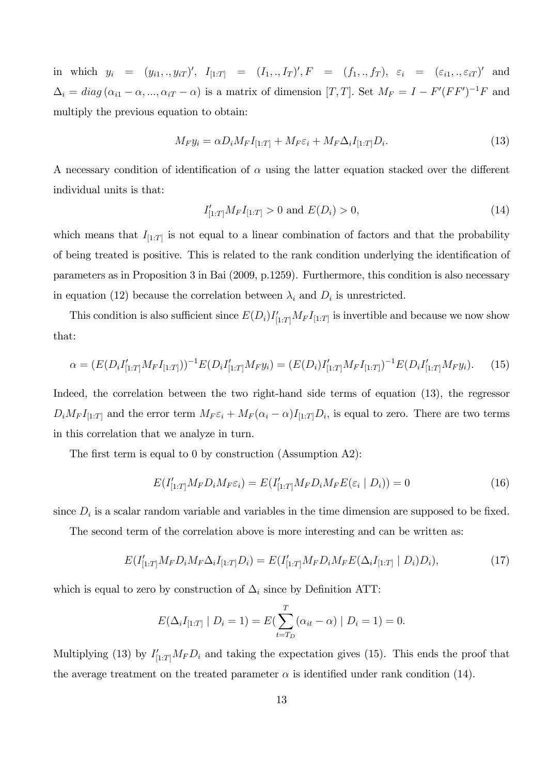$\text{in which} \quad y_i = (y_{i1},.,y_{iT})', \quad I_{[1:T]} = (I_1,.,I_T)', F = (f_1,.,f_T), \quad \varepsilon_i = (\varepsilon_{i1},.,\varepsilon_{iT})' \quad \text{and}$  $\Delta_i = diag(\alpha_{i1} - \alpha, ..., \alpha_{iT} - \alpha)$  is a matrix of dimension [T, T]. Set  $M_F = I - F'(FF')^{-1}F$  and multiply the previous equation to obtain:

$$
M_F y_i = \alpha D_i M_F I_{[1:T]} + M_F \varepsilon_i + M_F \Delta_i I_{[1:T]} D_i.
$$
\n
$$
(13)
$$

A necessary condition of identification of  $\alpha$  using the latter equation stacked over the different individual units is that:

$$
I'_{[1:T]} M_F I_{[1:T]} > 0 \text{ and } E(D_i) > 0,
$$
\n(14)

which means that  $I_{[1:T]}$  is not equal to a linear combination of factors and that the probability of being treated is positive. This is related to the rank condition underlying the identification of parameters as in Proposition 3 in Bai (2009, p.1259). Furthermore, this condition is also necessary in equation (12) because the correlation between  $\lambda_i$  and  $D_i$  is unrestricted.

This condition is also sufficient since  $E(D_i)I'_{[1:T]}M_F I_{[1:T]}$  is invertible and because we now show that:

$$
\alpha = (E(D_i I'_{[1:T]} M_F I_{[1:T]}))^{-1} E(D_i I'_{[1:T]} M_F y_i) = (E(D_i) I'_{[1:T]} M_F I_{[1:T]})^{-1} E(D_i I'_{[1:T]} M_F y_i).
$$
(15)

Indeed, the correlation between the two right-hand side terms of equation (13), the regressor  $D_i M_F I_{[1:T]}$  and the error term  $M_F \varepsilon_i + M_F (\alpha_i - \alpha) I_{[1:T]} D_i$ , is equal to zero. There are two terms in this correlation that we analyze in turn.

The first term is equal to 0 by construction (Assumption  $A2$ ):

$$
E(I'_{[1:T]}M_FD_iM_F\varepsilon_i) = E(I'_{[1:T]}M_FD_iM_FE(\varepsilon_i | D_i)) = 0
$$
\n(16)

since  $D_i$  is a scalar random variable and variables in the time dimension are supposed to be fixed.

The second term of the correlation above is more interesting and can be written as:

$$
E(I'_{[1:T]}M_FD_iM_F\Delta_iI_{[1:T]}D_i) = E(I'_{[1:T]}M_FD_iM_FE(\Delta_iI_{[1:T]} \mid D_i)D_i),
$$
\n(17)

which is equal to zero by construction of  $\Delta_i$  since by Definition ATT:

$$
E(\Delta_i I_{[1:T]} | D_i = 1) = E(\sum_{t=T_D}^{T} (\alpha_{it} - \alpha) | D_i = 1) = 0.
$$

Multiplying (13) by  $I'_{[1:T]}M_FD_i$  and taking the expectation gives (15). This ends the proof that the average treatment on the treated parameter  $\alpha$  is identified under rank condition (14).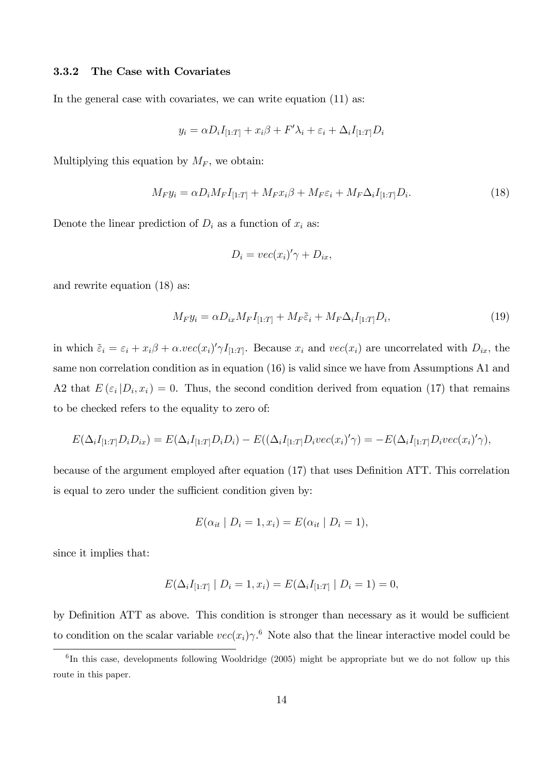#### 3.3.2 The Case with Covariates

In the general case with covariates, we can write equation  $(11)$  as:

$$
y_i = \alpha D_i I_{[1:T]} + x_i \beta + F' \lambda_i + \varepsilon_i + \Delta_i I_{[1:T]} D_i
$$

Multiplying this equation by  $M_F$ , we obtain:

$$
M_F y_i = \alpha D_i M_F I_{[1:T]} + M_F x_i \beta + M_F \varepsilon_i + M_F \Delta_i I_{[1:T]} D_i.
$$
\n
$$
(18)
$$

Denote the linear prediction of  $D_i$  as a function of  $x_i$  as:

$$
D_i = vec(x_i)' \gamma + D_{ix},
$$

and rewrite equation (18) as:

$$
M_F y_i = \alpha D_{ix} M_F I_{[1:T]} + M_F \tilde{\varepsilon}_i + M_F \Delta_i I_{[1:T]} D_i,
$$
\n
$$
(19)
$$

in which  $\tilde{\varepsilon}_i = \varepsilon_i + x_i \beta + \alpha \cdot vec(x_i)' \gamma I_{[1:T]}$ . Because  $x_i$  and  $vec(x_i)$  are uncorrelated with  $D_{ix}$ , the same non correlation condition as in equation (16) is valid since we have from Assumptions A1 and A2 that  $E(\epsilon_i|D_i,x_i) = 0$ . Thus, the second condition derived from equation (17) that remains to be checked refers to the equality to zero of:

$$
E(\Delta_i I_{[1:T]} D_i D_{ix}) = E(\Delta_i I_{[1:T]} D_i D_i) - E((\Delta_i I_{[1:T]} D_i vec(x_i)'\gamma) = -E(\Delta_i I_{[1:T]} D_i vec(x_i)'\gamma),
$$

because of the argument employed after equation (17) that uses Definition ATT. This correlation is equal to zero under the sufficient condition given by:

$$
E(\alpha_{it} \mid D_i = 1, x_i) = E(\alpha_{it} \mid D_i = 1),
$$

since it implies that:

$$
E(\Delta_i I_{[1:T]} \mid D_i = 1, x_i) = E(\Delta_i I_{[1:T]} \mid D_i = 1) = 0,
$$

by Definition ATT as above. This condition is stronger than necessary as it would be sufficient to condition on the scalar variable  $vec(x_i)\gamma$ <sup>6</sup>. Note also that the linear interactive model could be

 ${}^{6}$ In this case, developments following Wooldridge (2005) might be appropriate but we do not follow up this route in this paper.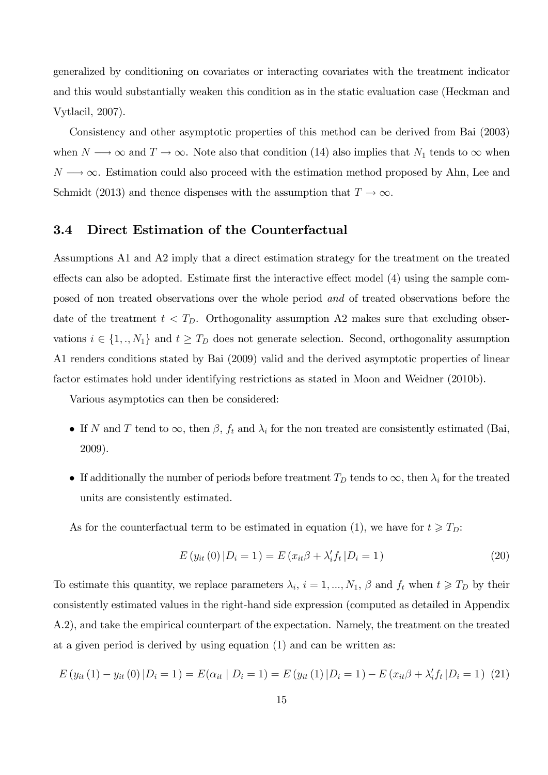generalized by conditioning on covariates or interacting covariates with the treatment indicator and this would substantially weaken this condition as in the static evaluation case (Heckman and Vytlacil, 2007).

Consistency and other asymptotic properties of this method can be derived from Bai (2003) when  $N \longrightarrow \infty$  and  $T \longrightarrow \infty$ . Note also that condition (14) also implies that  $N_1$  tends to  $\infty$  when  $N \longrightarrow \infty$ . Estimation could also proceed with the estimation method proposed by Ahn, Lee and Schmidt (2013) and thence dispenses with the assumption that  $T \to \infty$ .

#### 3.4 Direct Estimation of the Counterfactual

Assumptions A1 and A2 imply that a direct estimation strategy for the treatment on the treated effects can also be adopted. Estimate first the interactive effect model  $(4)$  using the sample composed of non treated observations over the whole period and of treated observations before the date of the treatment  $t < T_D$ . Orthogonality assumption A2 makes sure that excluding observations  $i \in \{1, ..., N_1\}$  and  $t \geq T_D$  does not generate selection. Second, orthogonality assumption A1 renders conditions stated by Bai (2009) valid and the derived asymptotic properties of linear factor estimates hold under identifying restrictions as stated in Moon and Weidner (2010b).

Various asymptotics can then be considered:

- If N and T tend to  $\infty$ , then  $\beta$ ,  $f_t$  and  $\lambda_i$  for the non treated are consistently estimated (Bai, 2009).
- If additionally the number of periods before treatment  $T_D$  tends to  $\infty$ , then  $\lambda_i$  for the treated units are consistently estimated.

As for the counterfactual term to be estimated in equation (1), we have for  $t \geq T_D$ :

$$
E(y_{it}(0) | D_i = 1) = E(x_{it}\beta + \lambda'_i f_t | D_i = 1)
$$
\n(20)

To estimate this quantity, we replace parameters  $\lambda_i$ ,  $i = 1, ..., N_1$ ,  $\beta$  and  $f_t$  when  $t \ge T_D$  by their consistently estimated values in the right-hand side expression (computed as detailed in Appendix A.2), and take the empirical counterpart of the expectation. Namely, the treatment on the treated at a given period is derived by using equation (1) and can be written as:

$$
E(y_{it}(1) - y_{it}(0) | D_i = 1) = E(\alpha_{it} | D_i = 1) = E(y_{it}(1) | D_i = 1) - E(x_{it}\beta + \lambda_i' f_t | D_i = 1) \tag{21}
$$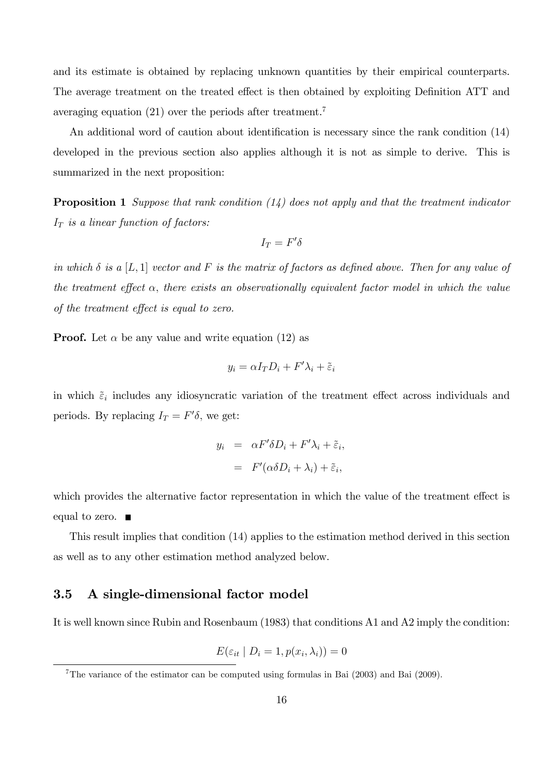and its estimate is obtained by replacing unknown quantities by their empirical counterparts. The average treatment on the treated effect is then obtained by exploiting Definition ATT and averaging equation (21) over the periods after treatment.<sup>7</sup>

An additional word of caution about identification is necessary since the rank condition (14) developed in the previous section also applies although it is not as simple to derive. This is summarized in the next proposition:

**Proposition 1** Suppose that rank condition  $(14)$  does not apply and that the treatment indicator  $I_T$  is a linear function of factors:

$$
I_T = F'\delta
$$

in which  $\delta$  is a [L, 1] vector and F is the matrix of factors as defined above. Then for any value of the treatment effect  $\alpha$ , there exists an observationally equivalent factor model in which the value of the treatment effect is equal to zero.

**Proof.** Let  $\alpha$  be any value and write equation (12) as

$$
y_i = \alpha I_T D_i + F' \lambda_i + \tilde{\varepsilon}_i
$$

in which  $\tilde{\varepsilon}_i$  includes any idiosyncratic variation of the treatment effect across individuals and periods. By replacing  $I_T = F' \delta$ , we get:

$$
y_i = \alpha F' \delta D_i + F' \lambda_i + \tilde{\varepsilon}_i,
$$
  

$$
= F'(\alpha \delta D_i + \lambda_i) + \tilde{\varepsilon}_i,
$$

which provides the alternative factor representation in which the value of the treatment effect is equal to zero.  $\blacksquare$ 

This result implies that condition (14) applies to the estimation method derived in this section as well as to any other estimation method analyzed below.

#### 3.5 A single-dimensional factor model

It is well known since Rubin and Rosenbaum (1983) that conditions A1 and A2 imply the condition:

$$
E(\varepsilon_{it} \mid D_i = 1, p(x_i, \lambda_i)) = 0
$$

<sup>7</sup>The variance of the estimator can be computed using formulas in Bai (2003) and Bai (2009).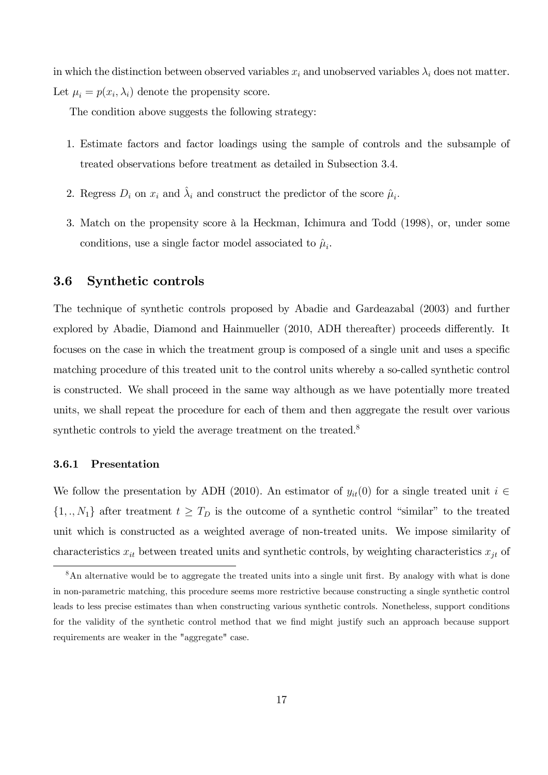in which the distinction between observed variables  $x_i$  and unobserved variables  $\lambda_i$  does not matter. Let  $\mu_i = p(x_i, \lambda_i)$  denote the propensity score.

The condition above suggests the following strategy:

- 1. Estimate factors and factor loadings using the sample of controls and the subsample of treated observations before treatment as detailed in Subsection 3.4.
- 2. Regress  $D_i$  on  $x_i$  and  $\hat{\lambda}_i$  and construct the predictor of the score  $\hat{\mu}_i$ .
- 3. Match on the propensity score à la Heckman, Ichimura and Todd (1998), or, under some conditions, use a single factor model associated to  $\hat{\mu}_i$ .

#### 3.6 Synthetic controls

The technique of synthetic controls proposed by Abadie and Gardeazabal (2003) and further explored by Abadie, Diamond and Hainmueller (2010, ADH thereafter) proceeds differently. It focuses on the case in which the treatment group is composed of a single unit and uses a specific matching procedure of this treated unit to the control units whereby a so-called synthetic control is constructed. We shall proceed in the same way although as we have potentially more treated units, we shall repeat the procedure for each of them and then aggregate the result over various synthetic controls to yield the average treatment on the treated.<sup>8</sup>

#### 3.6.1 Presentation

We follow the presentation by ADH (2010). An estimator of  $y_{it}(0)$  for a single treated unit  $i \in$  $\{1,.,N_1\}$  after treatment  $t \geq T_D$  is the outcome of a synthetic control "similar" to the treated unit which is constructed as a weighted average of non-treated units. We impose similarity of characteristics  $x_{it}$  between treated units and synthetic controls, by weighting characteristics  $x_{jt}$  of

<sup>&</sup>lt;sup>8</sup>An alternative would be to aggregate the treated units into a single unit first. By analogy with what is done in non-parametric matching, this procedure seems more restrictive because constructing a single synthetic control leads to less precise estimates than when constructing various synthetic controls. Nonetheless, support conditions for the validity of the synthetic control method that we find might justify such an approach because support requirements are weaker in the "aggregate" case.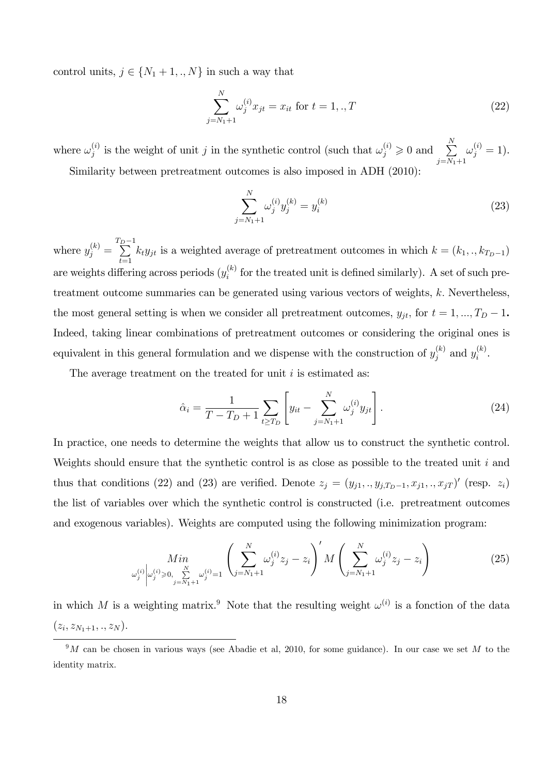control units,  $j \in \{N_1 + 1, \ldots, N\}$  in such a way that

$$
\sum_{j=N_1+1}^{N} \omega_j^{(i)} x_{jt} = x_{it} \text{ for } t = 1,.,T
$$
 (22)

where  $\omega_i^{(i)}$ (i) is the weight of unit j in the synthetic control (such that  $\omega_j^{(i)} \geq 0$  and  $\sum_{j=1}^N$  $j = N_1 + 1$  $\omega_j^{(i)}=1).$ Similarity between pretreatment outcomes is also imposed in ADH (2010):

$$
\sum_{j=N_1+1}^{N} \omega_j^{(i)} y_j^{(k)} = y_i^{(k)} \tag{23}
$$

where  $y_j^{(k)} =$  $T_{D-1}$  $\sum_{t=1} k_t y_{jt}$  is a weighted average of pretreatment outcomes in which  $k = (k_1, \ldots, k_{T_D-1})$ are weights differing across periods  $(y_i^{(k)})$  $i^{(k)}$  for the treated unit is defined similarly). A set of such pretreatment outcome summaries can be generated using various vectors of weights,  $k$ . Nevertheless, the most general setting is when we consider all pretreatment outcomes,  $y_{jt}$ , for  $t = 1, ..., T_D - 1$ . Indeed, taking linear combinations of pretreatment outcomes or considering the original ones is equivalent in this general formulation and we dispense with the construction of  $y_j^{(k)}$  $y_j^{(k)}$  and  $y_i^{(k)}$  $\binom{\kappa}{i}$ .

The average treatment on the treated for unit  $i$  is estimated as:

$$
\hat{\alpha}_i = \frac{1}{T - T_D + 1} \sum_{t \ge T_D} \left[ y_{it} - \sum_{j=N_1+1}^{N} \omega_j^{(i)} y_{jt} \right].
$$
\n(24)

In practice, one needs to determine the weights that allow us to construct the synthetic control. Weights should ensure that the synthetic control is as close as possible to the treated unit  $i$  and thus that conditions (22) and (23) are verified. Denote  $z_j = (y_{j1},..,y_{j,T_D-1}, x_{j1},..,x_{jT})'$  (resp.  $z_i$ ) the list of variables over which the synthetic control is constructed (i.e. pretreatment outcomes and exogenous variables). Weights are computed using the following minimization program:

$$
\lim_{\omega_j^{(i)} \mid \omega_j^{(i)} \ge 0, \sum\limits_{j=N_1+1}^N \omega_j^{(i)} = 1} \left( \sum\limits_{j=N_1+1}^N \omega_j^{(i)} z_j - z_i \right)' M \left( \sum\limits_{j=N_1+1}^N \omega_j^{(i)} z_j - z_i \right) \tag{25}
$$

in which M is a weighting matrix.<sup>9</sup> Note that the resulting weight  $\omega^{(i)}$  is a fonction of the data  $(z_i, z_{N_1+1}, ., z_N)$ .

 $9M$  can be chosen in various ways (see Abadie et al, 2010, for some guidance). In our case we set M to the identity matrix.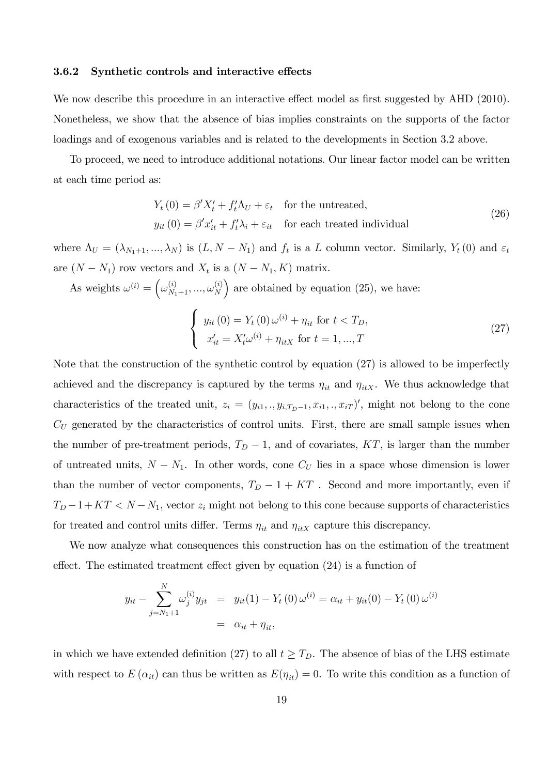#### 3.6.2 Synthetic controls and interactive effects

We now describe this procedure in an interactive effect model as first suggested by AHD (2010). Nonetheless, we show that the absence of bias implies constraints on the supports of the factor loadings and of exogenous variables and is related to the developments in Section 3.2 above.

To proceed, we need to introduce additional notations. Our linear factor model can be written at each time period as:

$$
Y_t(0) = \beta' X'_t + f'_t \Lambda_U + \varepsilon_t \quad \text{for the untreated},
$$
  

$$
y_{it}(0) = \beta' x'_{it} + f'_t \lambda_i + \varepsilon_{it} \quad \text{for each treated individual}
$$
 (26)

where  $\Lambda_U = (\lambda_{N_1+1}, ..., \lambda_N)$  is  $(L, N - N_1)$  and  $f_t$  is a L column vector. Similarly,  $Y_t(0)$  and  $\varepsilon_t$ are  $(N - N_1)$  row vectors and  $X_t$  is a  $(N - N_1, K)$  matrix.

As weights  $\omega^{(i)} = \left(\omega_{N_1+1}^{(i)}, ..., \omega_{N}^{(i)}\right)$ N ) are obtained by equation  $(25)$ , we have:

$$
\begin{cases}\n y_{it}(0) = Y_t(0) \omega^{(i)} + \eta_{it} \text{ for } t < T_D, \\
x'_{it} = X'_t \omega^{(i)} + \eta_{itX} \text{ for } t = 1, ..., T\n\end{cases}
$$
\n(27)

Note that the construction of the synthetic control by equation (27) is allowed to be imperfectly achieved and the discrepancy is captured by the terms  $\eta_{it}$  and  $\eta_{itX}$ . We thus acknowledge that characteristics of the treated unit,  $z_i = (y_{i1}, \ldots, y_{i,T_D-1}, x_{i1}, \ldots, x_{iT})'$ , might not belong to the cone  $C_U$  generated by the characteristics of control units. First, there are small sample issues when the number of pre-treatment periods,  $T_D - 1$ , and of covariates, KT, is larger than the number of untreated units,  $N - N_1$ . In other words, cone  $C_U$  lies in a space whose dimension is lower than the number of vector components,  $T_D - 1 + KT$  . Second and more importantly, even if  $T_D - 1 + KT < N - N_1$ , vector  $z_i$  might not belong to this cone because supports of characteristics for treated and control units differ. Terms  $\eta_{it}$  and  $\eta_{itX}$  capture this discrepancy.

We now analyze what consequences this construction has on the estimation of the treatment effect. The estimated treatment effect given by equation  $(24)$  is a function of

$$
y_{it} - \sum_{j=N_1+1}^{N} \omega_j^{(i)} y_{jt} = y_{it}(1) - Y_t(0) \omega^{(i)} = \alpha_{it} + y_{it}(0) - Y_t(0) \omega^{(i)}
$$
  
=  $\alpha_{it} + \eta_{it}$ ,

in which we have extended definition (27) to all  $t \geq T_D$ . The absence of bias of the LHS estimate with respect to  $E(\alpha_{it})$  can thus be written as  $E(\eta_{it}) = 0$ . To write this condition as a function of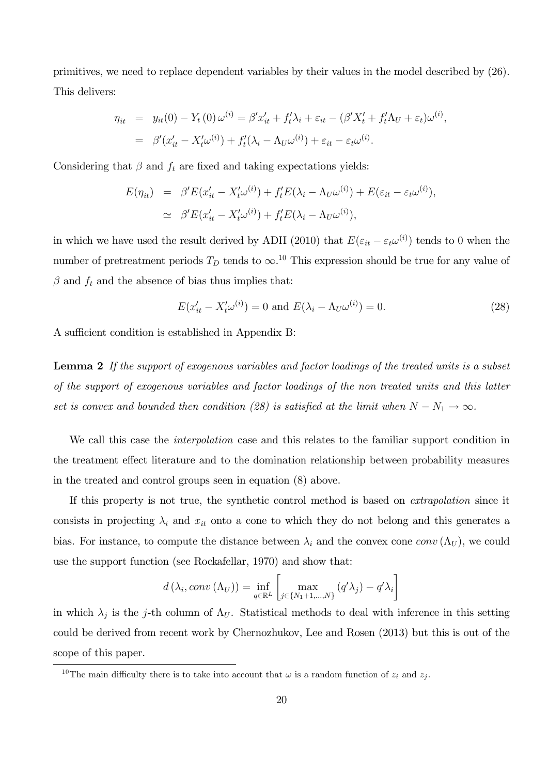primitives, we need to replace dependent variables by their values in the model described by (26). This delivers:

$$
\eta_{it} = y_{it}(0) - Y_t(0) \omega^{(i)} = \beta' x'_{it} + f'_t \lambda_i + \varepsilon_{it} - (\beta' X'_t + f'_t \lambda_U + \varepsilon_t) \omega^{(i)},
$$
  

$$
= \beta' (x'_{it} - X'_t \omega^{(i)}) + f'_t (\lambda_i - \Lambda_U \omega^{(i)}) + \varepsilon_{it} - \varepsilon_t \omega^{(i)}.
$$

Considering that  $\beta$  and  $f_t$  are fixed and taking expectations yields:

$$
E(\eta_{it}) = \beta' E(x'_{it} - X'_{t} \omega^{(i)}) + f'_{t} E(\lambda_{i} - \Lambda_{U} \omega^{(i)}) + E(\varepsilon_{it} - \varepsilon_{t} \omega^{(i)}),
$$
  

$$
\simeq \beta' E(x'_{it} - X'_{t} \omega^{(i)}) + f'_{t} E(\lambda_{i} - \Lambda_{U} \omega^{(i)}),
$$

in which we have used the result derived by ADH (2010) that  $E(\varepsilon_{it} - \varepsilon_t \omega^{(i)})$  tends to 0 when the number of pretreatment periods  $T_D$  tends to  $\infty$ .<sup>10</sup> This expression should be true for any value of  $\beta$  and  $f_t$  and the absence of bias thus implies that:

$$
E(x'_{it} - X'_{t}\omega^{(i)}) = 0
$$
 and  $E(\lambda_i - \Lambda_U\omega^{(i)}) = 0.$  (28)

A sufficient condition is established in Appendix B:

Lemma 2 If the support of exogenous variables and factor loadings of the treated units is a subset of the support of exogenous variables and factor loadings of the non treated units and this latter set is convex and bounded then condition (28) is satisfied at the limit when  $N - N_1 \rightarrow \infty$ .

We call this case the *interpolation* case and this relates to the familiar support condition in the treatment effect literature and to the domination relationship between probability measures in the treated and control groups seen in equation (8) above.

If this property is not true, the synthetic control method is based on extrapolation since it consists in projecting  $\lambda_i$  and  $x_{it}$  onto a cone to which they do not belong and this generates a bias. For instance, to compute the distance between  $\lambda_i$  and the convex cone conv  $(\Lambda_U)$ , we could use the support function (see Rockafellar, 1970) and show that:

$$
d(\lambda_i, conv(\Lambda_U)) = \inf_{q \in \mathbb{R}^L} \left[ \max_{j \in \{N_1 + 1, ..., N\}} (q'\lambda_j) - q'\lambda_i \right]
$$

in which  $\lambda_j$  is the j-th column of  $\Lambda_U$ . Statistical methods to deal with inference in this setting could be derived from recent work by Chernozhukov, Lee and Rosen (2013) but this is out of the scope of this paper.

<sup>&</sup>lt;sup>10</sup>The main difficulty there is to take into account that  $\omega$  is a random function of  $z_i$  and  $z_j$ .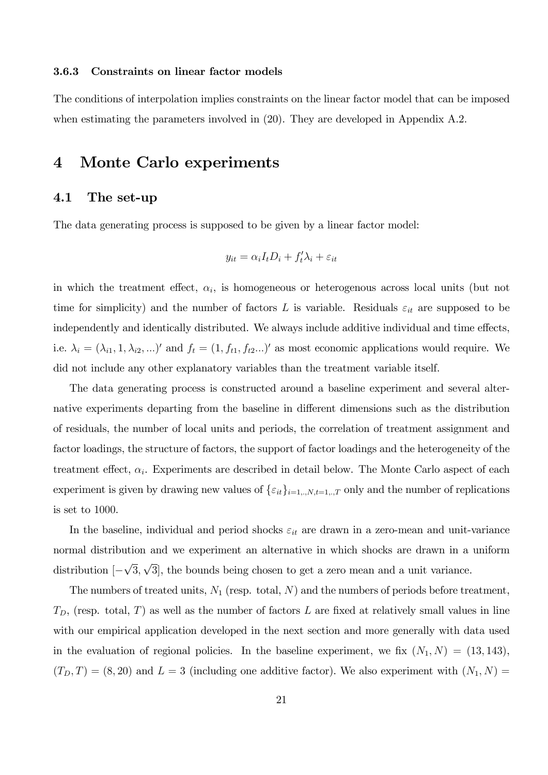#### 3.6.3 Constraints on linear factor models

The conditions of interpolation implies constraints on the linear factor model that can be imposed when estimating the parameters involved in (20). They are developed in Appendix A.2.

# 4 Monte Carlo experiments

#### 4.1 The set-up

The data generating process is supposed to be given by a linear factor model:

$$
y_{it} = \alpha_i I_t D_i + f'_t \lambda_i + \varepsilon_{it}
$$

in which the treatment effect,  $\alpha_i$ , is homogeneous or heterogenous across local units (but not time for simplicity) and the number of factors L is variable. Residuals  $\varepsilon_{it}$  are supposed to be independently and identically distributed. We always include additive individual and time effects, i.e.  $\lambda_i = (\lambda_{i1}, 1, \lambda_{i2}, ...)$  and  $f_t = (1, f_{t1}, f_{t2}...)'$  as most economic applications would require. We did not include any other explanatory variables than the treatment variable itself.

The data generating process is constructed around a baseline experiment and several alternative experiments departing from the baseline in different dimensions such as the distribution of residuals, the number of local units and periods, the correlation of treatment assignment and factor loadings, the structure of factors, the support of factor loadings and the heterogeneity of the treatment effect,  $\alpha_i$ . Experiments are described in detail below. The Monte Carlo aspect of each experiment is given by drawing new values of  $\{\varepsilon_{it}\}_{i=1,..,N,t=1,..,T}$  only and the number of replications is set to 1000.

In the baseline, individual and period shocks  $\varepsilon_{it}$  are drawn in a zero-mean and unit-variance normal distribution and we experiment an alternative in which shocks are drawn in a uniform distribution  $[-\sqrt{3}, \sqrt{3}]$ , the bounds being chosen to get a zero mean and a unit variance.

The numbers of treated units,  $N_1$  (resp. total,  $N$ ) and the numbers of periods before treatment,  $T_D$ , (resp. total, T) as well as the number of factors L are fixed at relatively small values in line with our empirical application developed in the next section and more generally with data used in the evaluation of regional policies. In the baseline experiment, we fix  $(N_1, N) = (13, 143)$ ,  $(T_D, T) = (8, 20)$  and  $L = 3$  (including one additive factor). We also experiment with  $(N_1, N) =$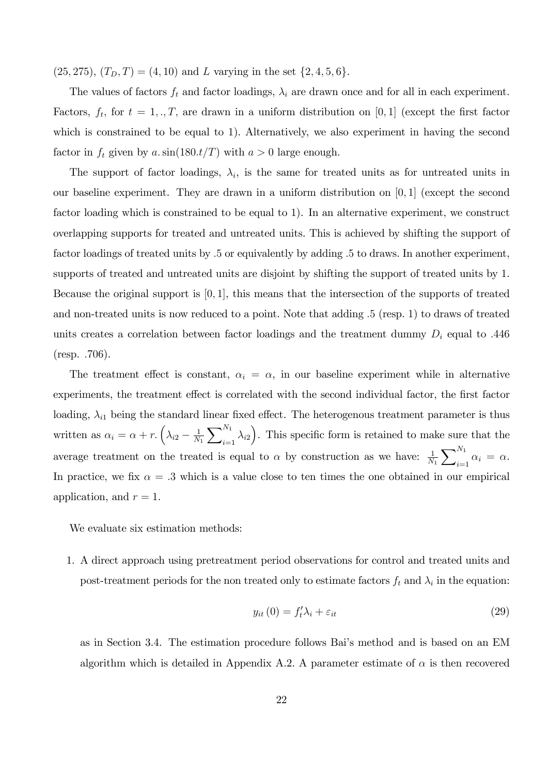$(25, 275), (T_D, T) = (4, 10)$  and L varying in the set  $\{2, 4, 5, 6\}.$ 

The values of factors  $f_t$  and factor loadings,  $\lambda_i$  are drawn once and for all in each experiment. Factors,  $f_t$ , for  $t = 1, ., T$ , are drawn in a uniform distribution on [0,1] (except the first factor which is constrained to be equal to 1). Alternatively, we also experiment in having the second factor in  $f_t$  given by a.  $\sin(180 \cdot t/T)$  with  $a > 0$  large enough.

The support of factor loadings,  $\lambda_i$ , is the same for treated units as for untreated units in our baseline experiment. They are drawn in a uniform distribution on [0; 1] (except the second factor loading which is constrained to be equal to 1). In an alternative experiment, we construct overlapping supports for treated and untreated units. This is achieved by shifting the support of factor loadings of treated units by :5 or equivalently by adding :5 to draws. In another experiment, supports of treated and untreated units are disjoint by shifting the support of treated units by 1. Because the original support is  $[0, 1]$ , this means that the intersection of the supports of treated and non-treated units is now reduced to a point. Note that adding :5 (resp. 1) to draws of treated units creates a correlation between factor loadings and the treatment dummy  $D_i$  equal to :446  $(resp. .706).$ 

The treatment effect is constant,  $\alpha_i = \alpha$ , in our baseline experiment while in alternative experiments, the treatment effect is correlated with the second individual factor, the first factor loading,  $\lambda_{i1}$  being the standard linear fixed effect. The heterogenous treatment parameter is thus written as  $\alpha_i = \alpha + r$ .  $\left(\lambda_{i2} - \frac{1}{N}\right)$  $N_1$  $\boldsymbol{\nabla}^{N_1}$  $\binom{N_1}{i=1} \lambda_{i2}$ . This specific form is retained to make sure that the average treatment on the treated is equal to  $\alpha$  by construction as we have:  $\frac{1}{N_1}$  $\boldsymbol{\nabla}^{N_1}$  $\sum_{i=1}^{\infty} \alpha_i = \alpha.$ In practice, we fix  $\alpha = 0.3$  which is a value close to ten times the one obtained in our empirical application, and  $r = 1$ .

We evaluate six estimation methods:

1. A direct approach using pretreatment period observations for control and treated units and post-treatment periods for the non treated only to estimate factors  $f_t$  and  $\lambda_i$  in the equation:

$$
y_{it}(0) = f'_t \lambda_i + \varepsilon_{it} \tag{29}
$$

as in Section 3.4. The estimation procedure follows Baiís method and is based on an EM algorithm which is detailed in Appendix A.2. A parameter estimate of  $\alpha$  is then recovered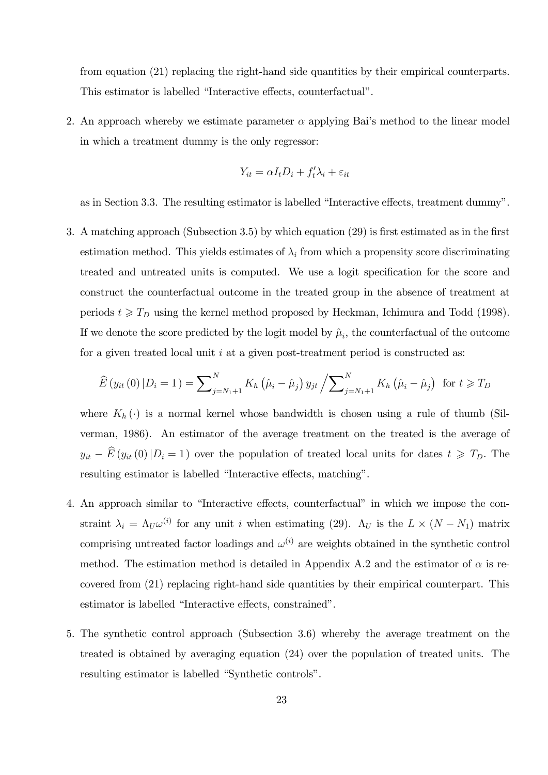from equation (21) replacing the right-hand side quantities by their empirical counterparts. This estimator is labelled "Interactive effects, counterfactual".

2. An approach whereby we estimate parameter  $\alpha$  applying Bai's method to the linear model in which a treatment dummy is the only regressor:

$$
Y_{it} = \alpha I_t D_i + f'_t \lambda_i + \varepsilon_{it}
$$

as in Section 3.3. The resulting estimator is labelled "Interactive effects, treatment dummy".

3. A matching approach (Subsection 3.5) by which equation  $(29)$  is first estimated as in the first estimation method. This yields estimates of  $\lambda_i$  from which a propensity score discriminating treated and untreated units is computed. We use a logit specification for the score and construct the counterfactual outcome in the treated group in the absence of treatment at periods  $t \geq T_D$  using the kernel method proposed by Heckman, Ichimura and Todd (1998). If we denote the score predicted by the logit model by  $\hat{\mu}_i$ , the counterfactual of the outcome for a given treated local unit  $i$  at a given post-treatment period is constructed as:

$$
\widehat{E}(y_{it}(0) | D_i = 1) = \sum_{j=N_1+1}^{N} K_h(\hat{\mu}_i - \hat{\mu}_j) y_{jt} / \sum_{j=N_1+1}^{N} K_h(\hat{\mu}_i - \hat{\mu}_j) \text{ for } t \ge T_D
$$

where  $K_h(\cdot)$  is a normal kernel whose bandwidth is chosen using a rule of thumb (Silverman, 1986). An estimator of the average treatment on the treated is the average of  $y_{it} - \widehat{E}(y_{it} (0))|D_i = 1$  over the population of treated local units for dates  $t \geq T_D$ . The resulting estimator is labelled "Interactive effects, matching".

- 4. An approach similar to "Interactive effects, counterfactual" in which we impose the constraint  $\lambda_i = \Lambda_U \omega^{(i)}$  for any unit i when estimating (29).  $\Lambda_U$  is the  $L \times (N - N_1)$  matrix comprising untreated factor loadings and  $\omega^{(i)}$  are weights obtained in the synthetic control method. The estimation method is detailed in Appendix A.2 and the estimator of  $\alpha$  is recovered from (21) replacing right-hand side quantities by their empirical counterpart. This estimator is labelled "Interactive effects, constrained".
- 5. The synthetic control approach (Subsection 3.6) whereby the average treatment on the treated is obtained by averaging equation (24) over the population of treated units. The resulting estimator is labelled "Synthetic controls".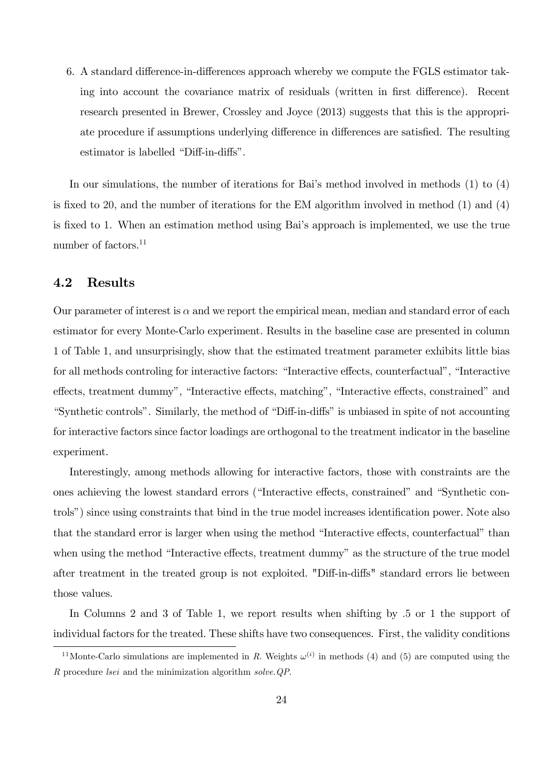6. A standard difference-in-differences approach whereby we compute the FGLS estimator taking into account the covariance matrix of residuals (written in first difference). Recent research presented in Brewer, Crossley and Joyce (2013) suggests that this is the appropriate procedure if assumptions underlying difference in differences are satisfied. The resulting estimator is labelled "Diff-in-diffs".

In our simulations, the number of iterations for Bai's method involved in methods  $(1)$  to  $(4)$ is fixed to 20, and the number of iterations for the EM algorithm involved in method  $(1)$  and  $(4)$ is fixed to 1. When an estimation method using Bai's approach is implemented, we use the true number of factors.<sup>11</sup>

#### 4.2 Results

Our parameter of interest is  $\alpha$  and we report the empirical mean, median and standard error of each estimator for every Monte-Carlo experiment. Results in the baseline case are presented in column 1 of Table 1, and unsurprisingly, show that the estimated treatment parameter exhibits little bias for all methods controling for interactive factors: "Interactive effects, counterfactual", "Interactive effects, treatment dummy", "Interactive effects, matching", "Interactive effects, constrained" and "Synthetic controls". Similarly, the method of "Diff-in-diffs" is unbiased in spite of not accounting for interactive factors since factor loadings are orthogonal to the treatment indicator in the baseline experiment.

Interestingly, among methods allowing for interactive factors, those with constraints are the ones achieving the lowest standard errors ("Interactive effects, constrained" and "Synthetic controls") since using constraints that bind in the true model increases identification power. Note also that the standard error is larger when using the method "Interactive effects, counterfactual" than when using the method "Interactive effects, treatment dummy" as the structure of the true model after treatment in the treated group is not exploited. "Diff-in-diffs" standard errors lie between those values.

In Columns 2 and 3 of Table 1, we report results when shifting by :5 or 1 the support of individual factors for the treated. These shifts have two consequences. First, the validity conditions

<sup>&</sup>lt;sup>11</sup> Monte-Carlo simulations are implemented in R. Weights  $\omega^{(i)}$  in methods (4) and (5) are computed using the R procedure lsei and the minimization algorithm solve.QP.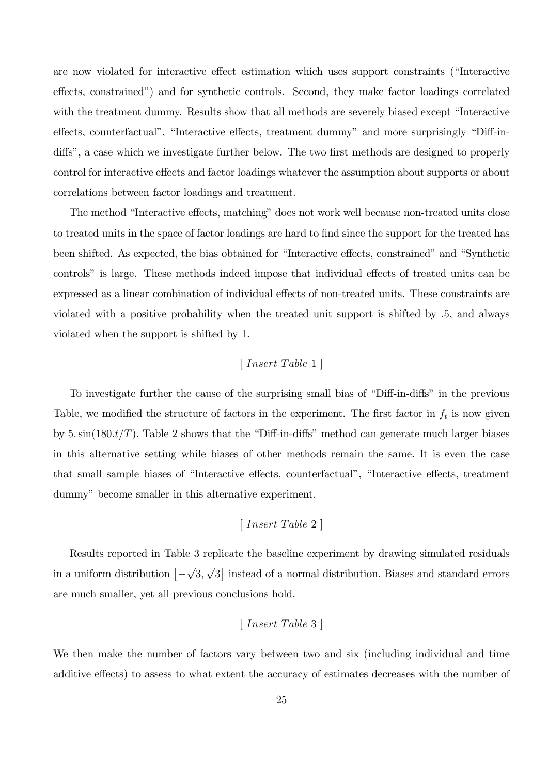are now violated for interactive effect estimation which uses support constraints ("Interactive effects, constrained") and for synthetic controls. Second, they make factor loadings correlated with the treatment dummy. Results show that all methods are severely biased except "Interactive" effects, counterfactual", "Interactive effects, treatment dummy" and more surprisingly "Diff-indiffs", a case which we investigate further below. The two first methods are designed to properly control for interactive effects and factor loadings whatever the assumption about supports or about correlations between factor loadings and treatment.

The method "Interactive effects, matching" does not work well because non-treated units close to treated units in the space of factor loadings are hard to find since the support for the treated has been shifted. As expected, the bias obtained for "Interactive effects, constrained" and "Synthetic controls" is large. These methods indeed impose that individual effects of treated units can be expressed as a linear combination of individual effects of non-treated units. These constraints are violated with a positive probability when the treated unit support is shifted by :5, and always violated when the support is shifted by 1.

#### $[Insert\ Table\ 1]$

To investigate further the cause of the surprising small bias of "Diff-in-diffs" in the previous Table, we modified the structure of factors in the experiment. The first factor in  $f_t$  is now given by 5. $\sin(180 \cdot t/T)$ . Table 2 shows that the "Diff-in-diffs" method can generate much larger biases in this alternative setting while biases of other methods remain the same. It is even the case that small sample biases of "Interactive effects, counterfactual", "Interactive effects, treatment dummy" become smaller in this alternative experiment.

### $[Insert\ Table\ 2]$

Results reported in Table 3 replicate the baseline experiment by drawing simulated residuals in a uniform distribution  $\left[-\right.$  $\sqrt{3}, \sqrt{3}$  instead of a normal distribution. Biases and standard errors are much smaller, yet all previous conclusions hold.

### $[Insert Table 3]$

We then make the number of factors vary between two and six (including individual and time additive effects) to assess to what extent the accuracy of estimates decreases with the number of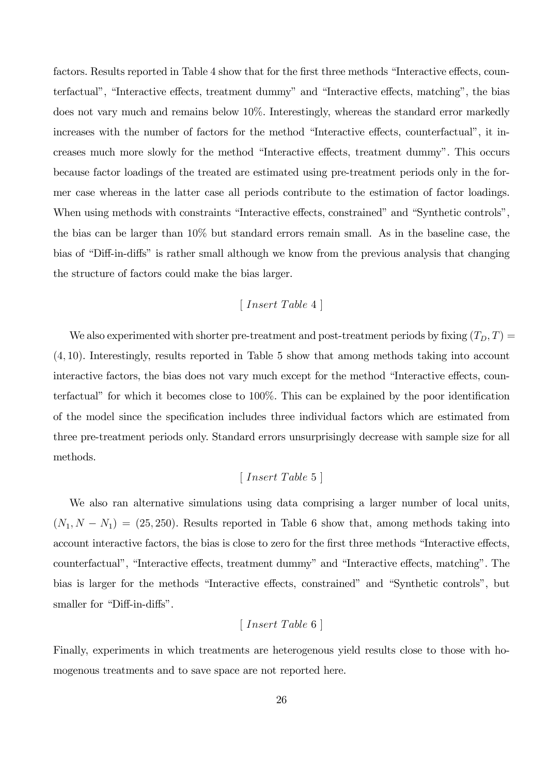factors. Results reported in Table 4 show that for the first three methods "Interactive effects, counterfactual", "Interactive effects, treatment dummy" and "Interactive effects, matching", the bias does not vary much and remains below 10%. Interestingly, whereas the standard error markedly increases with the number of factors for the method "Interactive effects, counterfactual", it increases much more slowly for the method "Interactive effects, treatment dummy". This occurs because factor loadings of the treated are estimated using pre-treatment periods only in the former case whereas in the latter case all periods contribute to the estimation of factor loadings. When using methods with constraints "Interactive effects, constrained" and "Synthetic controls", the bias can be larger than 10% but standard errors remain small. As in the baseline case, the bias of "Diff-in-diffs" is rather small although we know from the previous analysis that changing the structure of factors could make the bias larger.

#### $\lceil$  Insert Table 4  $\rceil$

We also experimented with shorter pre-treatment and post-treatment periods by fixing  $(T_D, T)$  =  $(4, 10)$ . Interestingly, results reported in Table 5 show that among methods taking into account interactive factors, the bias does not vary much except for the method "Interactive effects, counterfactual" for which it becomes close to  $100\%$ . This can be explained by the poor identification of the model since the specification includes three individual factors which are estimated from three pre-treatment periods only. Standard errors unsurprisingly decrease with sample size for all methods.

#### $[Insert\ Table\ 5]$

We also ran alternative simulations using data comprising a larger number of local units,  $(N_1, N - N_1) = (25, 250)$ . Results reported in Table 6 show that, among methods taking into account interactive factors, the bias is close to zero for the first three methods "Interactive effects, counterfactual", "Interactive effects, treatment dummy" and "Interactive effects, matching". The bias is larger for the methods "Interactive effects, constrained" and "Synthetic controls", but smaller for "Diff-in-diffs".

#### $[Insert\ Table\ 6]$

Finally, experiments in which treatments are heterogenous yield results close to those with homogenous treatments and to save space are not reported here.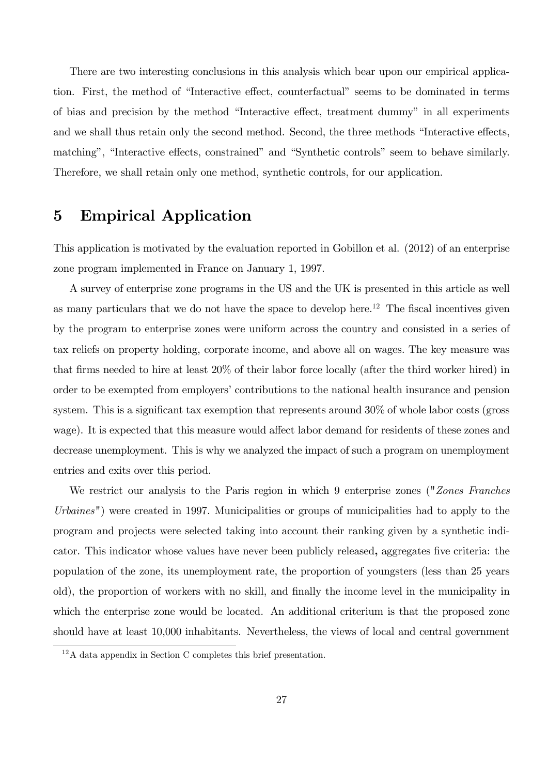There are two interesting conclusions in this analysis which bear upon our empirical application. First, the method of "Interactive effect, counterfactual" seems to be dominated in terms of bias and precision by the method "Interactive effect, treatment dummy" in all experiments and we shall thus retain only the second method. Second, the three methods "Interactive effects, matching", "Interactive effects, constrained" and "Synthetic controls" seem to behave similarly. Therefore, we shall retain only one method, synthetic controls, for our application.

# 5 Empirical Application

This application is motivated by the evaluation reported in Gobillon et al. (2012) of an enterprise zone program implemented in France on January 1, 1997.

A survey of enterprise zone programs in the US and the UK is presented in this article as well as many particulars that we do not have the space to develop here.<sup>12</sup> The fiscal incentives given by the program to enterprise zones were uniform across the country and consisted in a series of tax reliefs on property holding, corporate income, and above all on wages. The key measure was that Örms needed to hire at least 20% of their labor force locally (after the third worker hired) in order to be exempted from employers' contributions to the national health insurance and pension system. This is a significant tax exemption that represents around  $30\%$  of whole labor costs (gross wage). It is expected that this measure would affect labor demand for residents of these zones and decrease unemployment. This is why we analyzed the impact of such a program on unemployment entries and exits over this period.

We restrict our analysis to the Paris region in which 9 enterprise zones ("*Zones Franches* Urbaines") were created in 1997. Municipalities or groups of municipalities had to apply to the program and projects were selected taking into account their ranking given by a synthetic indicator. This indicator whose values have never been publicly released, aggregates five criteria: the population of the zone, its unemployment rate, the proportion of youngsters (less than 25 years old), the proportion of workers with no skill, and finally the income level in the municipality in which the enterprise zone would be located. An additional criterium is that the proposed zone should have at least 10,000 inhabitants. Nevertheless, the views of local and central government

 $12A$  data appendix in Section C completes this brief presentation.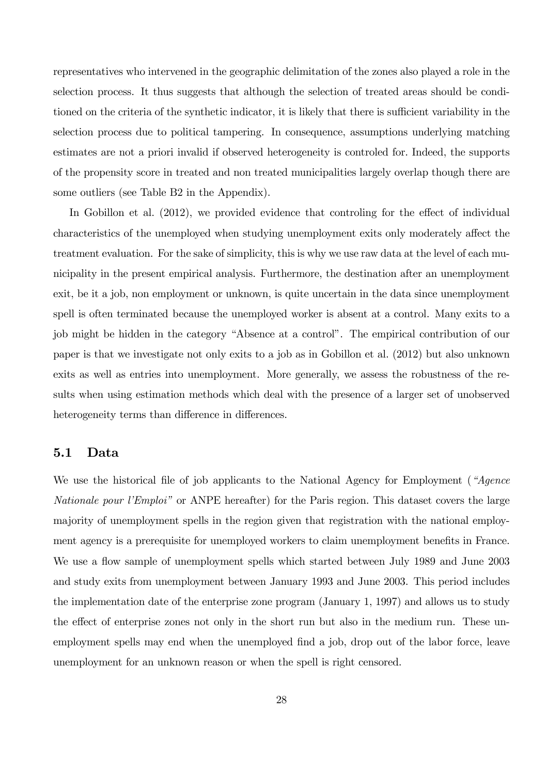representatives who intervened in the geographic delimitation of the zones also played a role in the selection process. It thus suggests that although the selection of treated areas should be conditioned on the criteria of the synthetic indicator, it is likely that there is sufficient variability in the selection process due to political tampering. In consequence, assumptions underlying matching estimates are not a priori invalid if observed heterogeneity is controled for. Indeed, the supports of the propensity score in treated and non treated municipalities largely overlap though there are some outliers (see Table B2 in the Appendix).

In Gobillon et al.  $(2012)$ , we provided evidence that controling for the effect of individual characteristics of the unemployed when studying unemployment exits only moderately affect the treatment evaluation. For the sake of simplicity, this is why we use raw data at the level of each municipality in the present empirical analysis. Furthermore, the destination after an unemployment exit, be it a job, non employment or unknown, is quite uncertain in the data since unemployment spell is often terminated because the unemployed worker is absent at a control. Many exits to a job might be hidden in the category "Absence at a control". The empirical contribution of our paper is that we investigate not only exits to a job as in Gobillon et al. (2012) but also unknown exits as well as entries into unemployment. More generally, we assess the robustness of the results when using estimation methods which deal with the presence of a larger set of unobserved heterogeneity terms than difference in differences.

#### 5.1 Data

We use the historical file of job applicants to the National Agency for Employment ( $Aqence$ Nationale pour l'Emploi" or ANPE hereafter) for the Paris region. This dataset covers the large majority of unemployment spells in the region given that registration with the national employment agency is a prerequisite for unemployed workers to claim unemployment benefits in France. We use a flow sample of unemployment spells which started between July 1989 and June 2003 and study exits from unemployment between January 1993 and June 2003. This period includes the implementation date of the enterprise zone program (January 1, 1997) and allows us to study the effect of enterprise zones not only in the short run but also in the medium run. These unemployment spells may end when the unemployed find a job, drop out of the labor force, leave unemployment for an unknown reason or when the spell is right censored.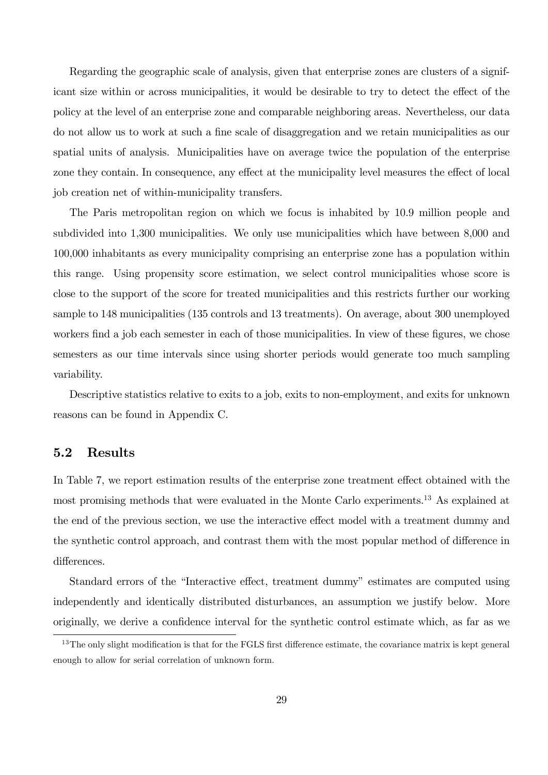Regarding the geographic scale of analysis, given that enterprise zones are clusters of a significant size within or across municipalities, it would be desirable to try to detect the effect of the policy at the level of an enterprise zone and comparable neighboring areas. Nevertheless, our data do not allow us to work at such a fine scale of disaggregation and we retain municipalities as our spatial units of analysis. Municipalities have on average twice the population of the enterprise zone they contain. In consequence, any effect at the municipality level measures the effect of local job creation net of within-municipality transfers.

The Paris metropolitan region on which we focus is inhabited by 10.9 million people and subdivided into 1,300 municipalities. We only use municipalities which have between 8,000 and 100,000 inhabitants as every municipality comprising an enterprise zone has a population within this range. Using propensity score estimation, we select control municipalities whose score is close to the support of the score for treated municipalities and this restricts further our working sample to 148 municipalities (135 controls and 13 treatments). On average, about 300 unemployed workers find a job each semester in each of those municipalities. In view of these figures, we chose semesters as our time intervals since using shorter periods would generate too much sampling variability.

Descriptive statistics relative to exits to a job, exits to non-employment, and exits for unknown reasons can be found in Appendix C.

#### 5.2 Results

In Table 7, we report estimation results of the enterprise zone treatment effect obtained with the most promising methods that were evaluated in the Monte Carlo experiments.<sup>13</sup> As explained at the end of the previous section, we use the interactive effect model with a treatment dummy and the synthetic control approach, and contrast them with the most popular method of difference in differences.

Standard errors of the "Interactive effect, treatment dummy" estimates are computed using independently and identically distributed disturbances, an assumption we justify below. More originally, we derive a confidence interval for the synthetic control estimate which, as far as we

 $13$ The only slight modification is that for the FGLS first difference estimate, the covariance matrix is kept general enough to allow for serial correlation of unknown form.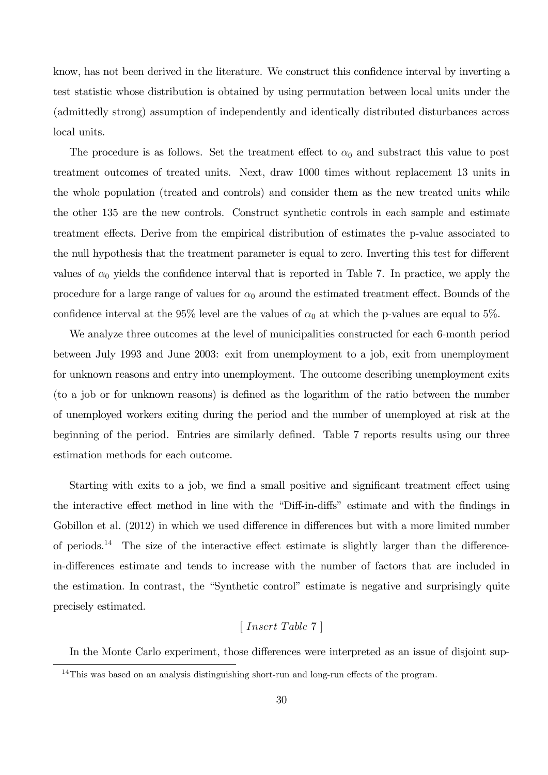know, has not been derived in the literature. We construct this confidence interval by inverting a test statistic whose distribution is obtained by using permutation between local units under the (admittedly strong) assumption of independently and identically distributed disturbances across local units.

The procedure is as follows. Set the treatment effect to  $\alpha_0$  and substract this value to post treatment outcomes of treated units. Next, draw 1000 times without replacement 13 units in the whole population (treated and controls) and consider them as the new treated units while the other 135 are the new controls. Construct synthetic controls in each sample and estimate treatment effects. Derive from the empirical distribution of estimates the p-value associated to the null hypothesis that the treatment parameter is equal to zero. Inverting this test for different values of  $\alpha_0$  yields the confidence interval that is reported in Table 7. In practice, we apply the procedure for a large range of values for  $\alpha_0$  around the estimated treatment effect. Bounds of the confidence interval at the 95% level are the values of  $\alpha_0$  at which the p-values are equal to 5%.

We analyze three outcomes at the level of municipalities constructed for each 6-month period between July 1993 and June 2003: exit from unemployment to a job, exit from unemployment for unknown reasons and entry into unemployment. The outcome describing unemployment exits (to a job or for unknown reasons) is deÖned as the logarithm of the ratio between the number of unemployed workers exiting during the period and the number of unemployed at risk at the beginning of the period. Entries are similarly defined. Table 7 reports results using our three estimation methods for each outcome.

Starting with exits to a job, we find a small positive and significant treatment effect using the interactive effect method in line with the "Diff-in-diffs" estimate and with the findings in Gobillon et al. (2012) in which we used difference in differences but with a more limited number of periods.<sup>14</sup> The size of the interactive effect estimate is slightly larger than the differencein-differences estimate and tends to increase with the number of factors that are included in the estimation. In contrast, the "Synthetic control" estimate is negative and surprisingly quite precisely estimated.

### $[Insert\ Table\ 7]$

In the Monte Carlo experiment, those differences were interpreted as an issue of disjoint sup-

 $14$ This was based on an analysis distinguishing short-run and long-run effects of the program.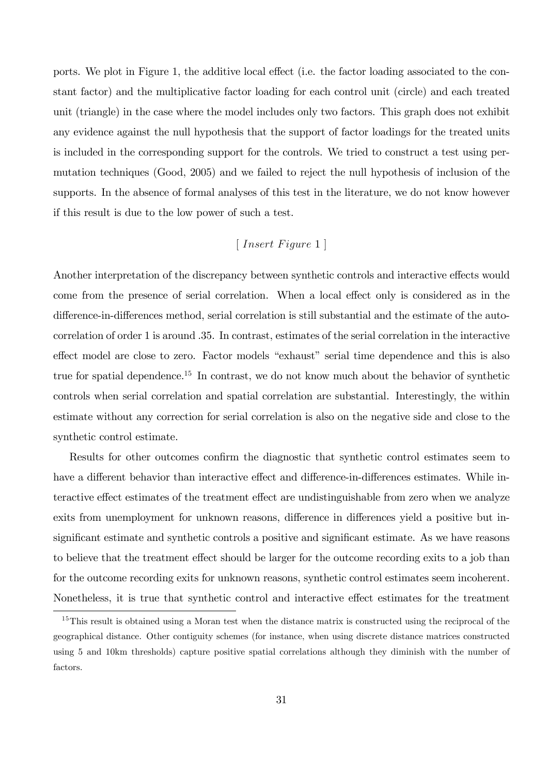ports. We plot in Figure 1, the additive local effect (i.e. the factor loading associated to the constant factor) and the multiplicative factor loading for each control unit (circle) and each treated unit (triangle) in the case where the model includes only two factors. This graph does not exhibit any evidence against the null hypothesis that the support of factor loadings for the treated units is included in the corresponding support for the controls. We tried to construct a test using permutation techniques (Good, 2005) and we failed to reject the null hypothesis of inclusion of the supports. In the absence of formal analyses of this test in the literature, we do not know however if this result is due to the low power of such a test.

#### $[Insert \ Figure\ 1]$

Another interpretation of the discrepancy between synthetic controls and interactive effects would come from the presence of serial correlation. When a local effect only is considered as in the difference-in-differences method, serial correlation is still substantial and the estimate of the autocorrelation of order 1 is around .35. In contrast, estimates of the serial correlation in the interactive effect model are close to zero. Factor models "exhaust" serial time dependence and this is also true for spatial dependence.<sup>15</sup> In contrast, we do not know much about the behavior of synthetic controls when serial correlation and spatial correlation are substantial. Interestingly, the within estimate without any correction for serial correlation is also on the negative side and close to the synthetic control estimate.

Results for other outcomes confirm the diagnostic that synthetic control estimates seem to have a different behavior than interactive effect and difference-in-differences estimates. While interactive effect estimates of the treatment effect are undistinguishable from zero when we analyze exits from unemployment for unknown reasons, difference in differences yield a positive but insignificant estimate and synthetic controls a positive and significant estimate. As we have reasons to believe that the treatment effect should be larger for the outcome recording exits to a job than for the outcome recording exits for unknown reasons, synthetic control estimates seem incoherent. Nonetheless, it is true that synthetic control and interactive effect estimates for the treatment

<sup>&</sup>lt;sup>15</sup>This result is obtained using a Moran test when the distance matrix is constructed using the reciprocal of the geographical distance. Other contiguity schemes (for instance, when using discrete distance matrices constructed using 5 and 10km thresholds) capture positive spatial correlations although they diminish with the number of factors.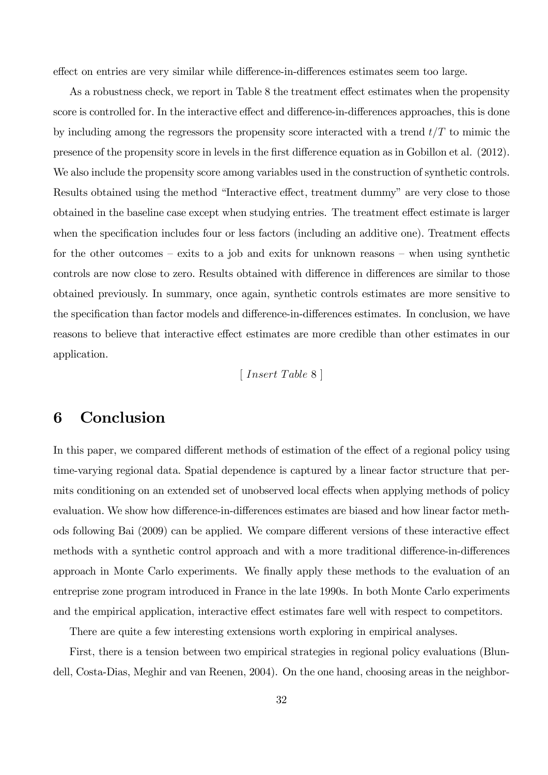effect on entries are very similar while difference-in-differences estimates seem too large.

As a robustness check, we report in Table 8 the treatment effect estimates when the propensity score is controlled for. In the interactive effect and difference-in-differences approaches, this is done by including among the regressors the propensity score interacted with a trend  $t/T$  to mimic the presence of the propensity score in levels in the first difference equation as in Gobillon et al. (2012). We also include the propensity score among variables used in the construction of synthetic controls. Results obtained using the method "Interactive effect, treatment dummy" are very close to those obtained in the baseline case except when studying entries. The treatment effect estimate is larger when the specification includes four or less factors (including an additive one). Treatment effects for the other outcomes  $-$  exits to a job and exits for unknown reasons  $-$  when using synthetic controls are now close to zero. Results obtained with difference in differences are similar to those obtained previously. In summary, once again, synthetic controls estimates are more sensitive to the specification than factor models and difference-in-differences estimates. In conclusion, we have reasons to believe that interactive effect estimates are more credible than other estimates in our application.

 $\lceil$  Insert Table 8  $\rceil$ 

# 6 Conclusion

In this paper, we compared different methods of estimation of the effect of a regional policy using time-varying regional data. Spatial dependence is captured by a linear factor structure that permits conditioning on an extended set of unobserved local effects when applying methods of policy evaluation. We show how difference-in-differences estimates are biased and how linear factor methods following Bai (2009) can be applied. We compare different versions of these interactive effect methods with a synthetic control approach and with a more traditional difference-in-differences approach in Monte Carlo experiments. We finally apply these methods to the evaluation of an entreprise zone program introduced in France in the late 1990s. In both Monte Carlo experiments and the empirical application, interactive effect estimates fare well with respect to competitors.

There are quite a few interesting extensions worth exploring in empirical analyses.

First, there is a tension between two empirical strategies in regional policy evaluations (Blundell, Costa-Dias, Meghir and van Reenen, 2004). On the one hand, choosing areas in the neighbor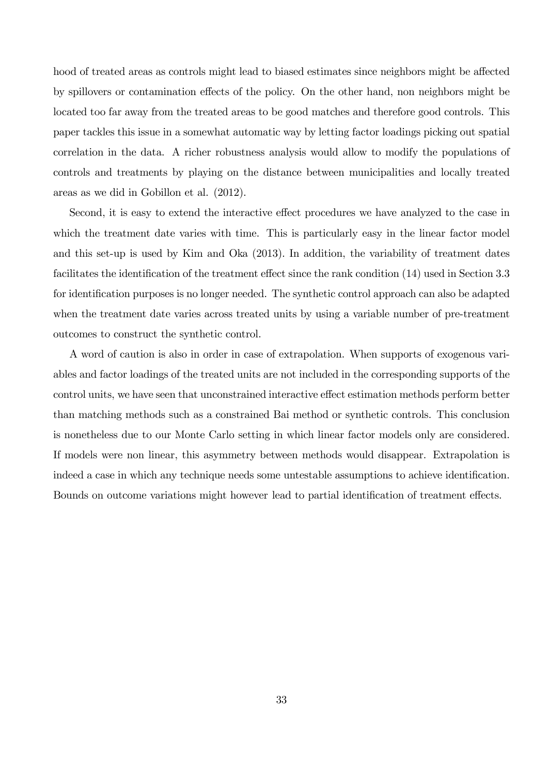hood of treated areas as controls might lead to biased estimates since neighbors might be affected by spillovers or contamination effects of the policy. On the other hand, non neighbors might be located too far away from the treated areas to be good matches and therefore good controls. This paper tackles this issue in a somewhat automatic way by letting factor loadings picking out spatial correlation in the data. A richer robustness analysis would allow to modify the populations of controls and treatments by playing on the distance between municipalities and locally treated areas as we did in Gobillon et al. (2012).

Second, it is easy to extend the interactive effect procedures we have analyzed to the case in which the treatment date varies with time. This is particularly easy in the linear factor model and this set-up is used by Kim and Oka (2013). In addition, the variability of treatment dates facilitates the identification of the treatment effect since the rank condition  $(14)$  used in Section 3.3 for identification purposes is no longer needed. The synthetic control approach can also be adapted when the treatment date varies across treated units by using a variable number of pre-treatment outcomes to construct the synthetic control.

A word of caution is also in order in case of extrapolation. When supports of exogenous variables and factor loadings of the treated units are not included in the corresponding supports of the control units, we have seen that unconstrained interactive effect estimation methods perform better than matching methods such as a constrained Bai method or synthetic controls. This conclusion is nonetheless due to our Monte Carlo setting in which linear factor models only are considered. If models were non linear, this asymmetry between methods would disappear. Extrapolation is indeed a case in which any technique needs some untestable assumptions to achieve identification. Bounds on outcome variations might however lead to partial identification of treatment effects.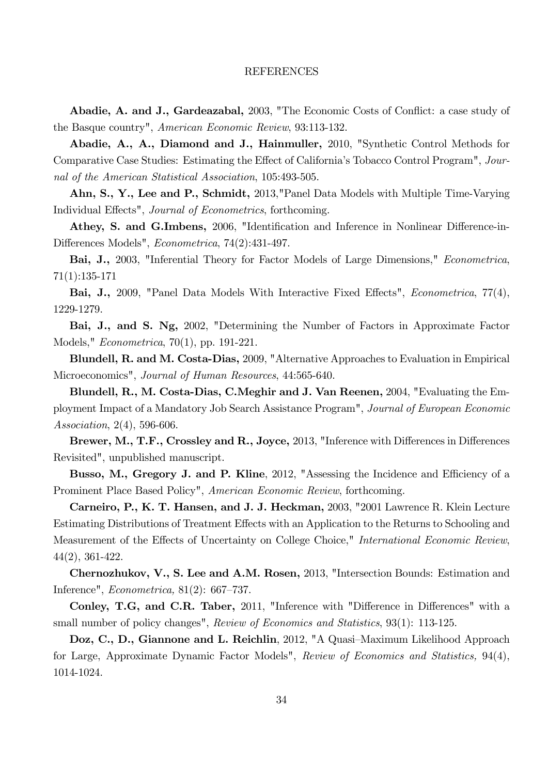#### REFERENCES

Abadie, A. and J., Gardeazabal, 2003, "The Economic Costs of Conflict: a case study of the Basque country", American Economic Review, 93:113-132.

Abadie, A., A., Diamond and J., Hainmuller, 2010, "Synthetic Control Methods for Comparative Case Studies: Estimating the Effect of California's Tobacco Control Program", Journal of the American Statistical Association, 105:493-505.

Ahn, S., Y., Lee and P., Schmidt, 2013,"Panel Data Models with Multiple Time-Varying Individual Effects", *Journal of Econometrics*, forthcoming.

Athey, S. and G.Imbens, 2006, "Identification and Inference in Nonlinear Difference-in-Differences Models", *Econometrica*, 74(2):431-497.

Bai, J., 2003, "Inferential Theory for Factor Models of Large Dimensions," Econometrica, 71(1):135-171

Bai, J., 2009, "Panel Data Models With Interactive Fixed Effects", *Econometrica*, 77(4), 1229-1279.

Bai, J., and S. Ng, 2002, "Determining the Number of Factors in Approximate Factor Models," Econometrica, 70(1), pp. 191-221.

Blundell, R. and M. Costa-Dias, 2009, "Alternative Approaches to Evaluation in Empirical Microeconomics", Journal of Human Resources, 44:565-640.

Blundell, R., M. Costa-Dias, C.Meghir and J. Van Reenen, 2004, "Evaluating the Employment Impact of a Mandatory Job Search Assistance Program", Journal of European Economic Association, 2(4), 596-606.

Brewer, M., T.F., Crossley and R., Joyce, 2013, "Inference with Differences in Differences Revisited", unpublished manuscript.

Busso, M., Gregory J. and P. Kline, 2012, "Assessing the Incidence and Efficiency of a Prominent Place Based Policy", American Economic Review, forthcoming.

Carneiro, P., K. T. Hansen, and J. J. Heckman, 2003, "2001 Lawrence R. Klein Lecture Estimating Distributions of Treatment Effects with an Application to the Returns to Schooling and Measurement of the Effects of Uncertainty on College Choice," International Economic Review, 44(2), 361-422.

Chernozhukov, V., S. Lee and A.M. Rosen, 2013, "Intersection Bounds: Estimation and Inference",  $Econometrica$ ,  $81(2)$ : 667–737.

Conley, T.G, and C.R. Taber, 2011, "Inference with "Difference in Differences" with a small number of policy changes", *Review of Economics and Statistics*, 93(1): 113-125.

Doz, C., D., Giannone and L. Reichlin, 2012, "A Quasi-Maximum Likelihood Approach for Large, Approximate Dynamic Factor Models", Review of Economics and Statistics, 94(4), 1014-1024.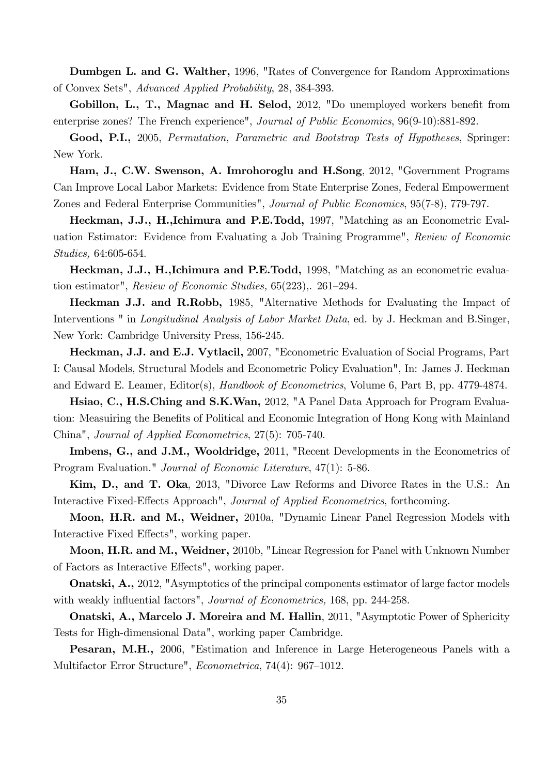Dumbgen L. and G. Walther, 1996, "Rates of Convergence for Random Approximations of Convex Sets", Advanced Applied Probability, 28, 384-393.

Gobillon, L., T., Magnac and H. Selod, 2012, "Do unemployed workers benefit from enterprise zones? The French experience", Journal of Public Economics, 96(9-10):881-892.

Good, P.I., 2005, Permutation, Parametric and Bootstrap Tests of Hypotheses, Springer: New York.

Ham, J., C.W. Swenson, A. Imrohoroglu and H.Song, 2012, "Government Programs Can Improve Local Labor Markets: Evidence from State Enterprise Zones, Federal Empowerment Zones and Federal Enterprise Communities", Journal of Public Economics, 95(7-8), 779-797.

Heckman, J.J., H.,Ichimura and P.E.Todd, 1997, "Matching as an Econometric Evaluation Estimator: Evidence from Evaluating a Job Training Programme", Review of Economic Studies, 64:605-654.

Heckman, J.J., H.,Ichimura and P.E.Todd, 1998, "Matching as an econometric evaluation estimator", Review of Economic Studies,  $65(223)$ ,  $261-294$ .

Heckman J.J. and R.Robb, 1985, "Alternative Methods for Evaluating the Impact of Interventions " in *Longitudinal Analysis of Labor Market Data*, ed. by J. Heckman and B.Singer, New York: Cambridge University Press, 156-245.

Heckman, J.J. and E.J. Vytlacil, 2007, "Econometric Evaluation of Social Programs, Part I: Causal Models, Structural Models and Econometric Policy Evaluation", In: James J. Heckman and Edward E. Leamer, Editor(s), Handbook of Econometrics, Volume 6, Part B, pp. 4779-4874.

Hsiao, C., H.S.Ching and S.K.Wan, 2012, "A Panel Data Approach for Program Evaluation: Measuiring the Benefits of Political and Economic Integration of Hong Kong with Mainland China", Journal of Applied Econometrics, 27(5): 705-740.

Imbens, G., and J.M., Wooldridge, 2011, "Recent Developments in the Econometrics of Program Evaluation." Journal of Economic Literature, 47(1): 5-86.

Kim, D., and T. Oka, 2013, "Divorce Law Reforms and Divorce Rates in the U.S.: An Interactive Fixed-Effects Approach", Journal of Applied Econometrics, forthcoming.

Moon, H.R. and M., Weidner, 2010a, "Dynamic Linear Panel Regression Models with Interactive Fixed Effects", working paper.

Moon, H.R. and M., Weidner, 2010b, "Linear Regression for Panel with Unknown Number of Factors as Interactive Effects", working paper.

Onatski, A., 2012, "Asymptotics of the principal components estimator of large factor models with weakly influential factors", Journal of Econometrics, 168, pp. 244-258.

Onatski, A., Marcelo J. Moreira and M. Hallin, 2011, "Asymptotic Power of Sphericity Tests for High-dimensional Data", working paper Cambridge.

Pesaran, M.H., 2006, "Estimation and Inference in Large Heterogeneous Panels with a Multifactor Error Structure", *Econometrica*, 74(4): 967–1012.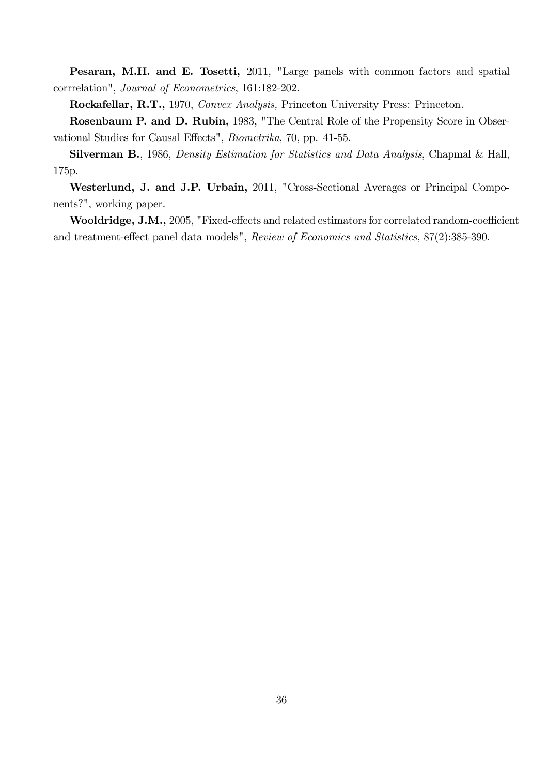Pesaran, M.H. and E. Tosetti, 2011, "Large panels with common factors and spatial corrrelation", Journal of Econometrics, 161:182-202.

Rockafellar, R.T., 1970, Convex Analysis, Princeton University Press: Princeton.

Rosenbaum P. and D. Rubin, 1983, "The Central Role of the Propensity Score in Observational Studies for Causal Effects", *Biometrika*, 70, pp. 41-55.

Silverman B., 1986, Density Estimation for Statistics and Data Analysis, Chapmal & Hall, 175p.

Westerlund, J. and J.P. Urbain, 2011, "Cross-Sectional Averages or Principal Components?", working paper.

Wooldridge, J.M., 2005, "Fixed-effects and related estimators for correlated random-coefficient and treatment-effect panel data models", Review of Economics and Statistics, 87(2):385-390.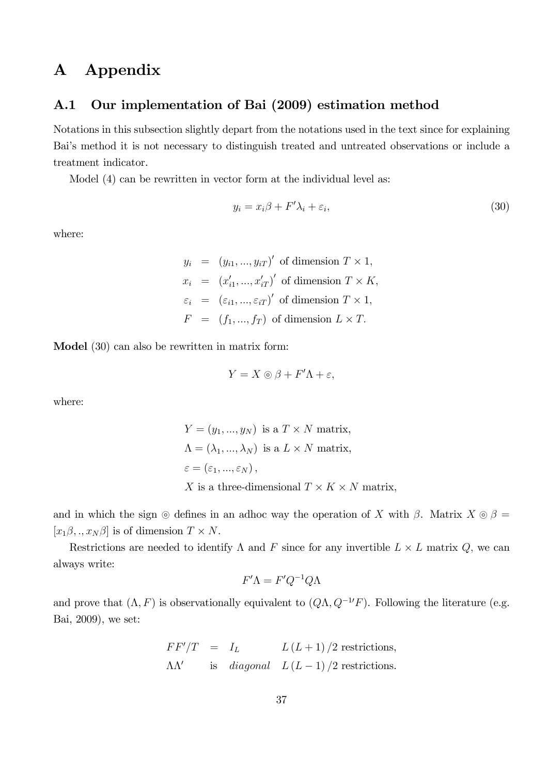# A Appendix

#### A.1 Our implementation of Bai (2009) estimation method

Notations in this subsection slightly depart from the notations used in the text since for explaining Baiís method it is not necessary to distinguish treated and untreated observations or include a treatment indicator.

Model (4) can be rewritten in vector form at the individual level as:

$$
y_i = x_i \beta + F' \lambda_i + \varepsilon_i,\tag{30}
$$

where:

 $y_i = (y_{i1}, ..., y_{iT})'$  of dimension  $T \times 1$ ,  $x_i = (x'_{i1}, ..., x'_{iT})'$  of dimension  $T \times K$ ,  $\varepsilon_i = (\varepsilon_{i1}, ..., \varepsilon_{iT})'$  of dimension  $T \times 1$ ,  $F = (f_1, ..., f_T)$  of dimension  $L \times T$ .

Model (30) can also be rewritten in matrix form:

$$
Y = X \circledcirc \beta + F'\Lambda + \varepsilon,
$$

where:

$$
Y = (y_1, ..., y_N)
$$
 is a  $T \times N$  matrix,  
\n
$$
\Lambda = (\lambda_1, ..., \lambda_N)
$$
 is a  $L \times N$  matrix,  
\n $\varepsilon = (\varepsilon_1, ..., \varepsilon_N)$ ,  
\n $X$  is a three-dimensional  $T \times K \times N$  matrix,

and in which the sign  $\odot$  defines in an adhoc way the operation of X with  $\beta$ . Matrix  $X \odot \beta =$  $[x_1\beta, \ldots, x_N\beta]$  is of dimension  $T \times N$ .

Restrictions are needed to identify  $\Lambda$  and  $F$  since for any invertible  $L \times L$  matrix  $Q$ , we can always write:

$$
F'\Lambda = F'Q^{-1}Q\Lambda
$$

and prove that  $(\Lambda, F)$  is observationally equivalent to  $(Q\Lambda, Q^{-1}F)$ . Following the literature (e.g. Bai, 2009), we set:

$$
FF'/T = I_L \t L (L+1)/2 \text{ restrictions},
$$
  
 
$$
\Lambda \Lambda' \text{ is diagonal } L (L-1)/2 \text{ restrictions}.
$$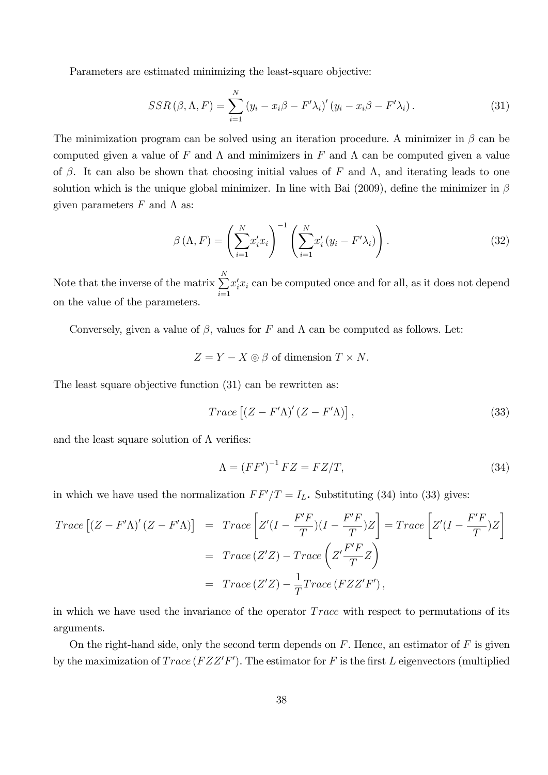Parameters are estimated minimizing the least-square objective:

$$
SSR\left(\beta,\Lambda,F\right) = \sum_{i=1}^{N} \left(y_i - x_i \beta - F'\lambda_i\right)' \left(y_i - x_i \beta - F'\lambda_i\right). \tag{31}
$$

The minimization program can be solved using an iteration procedure. A minimizer in  $\beta$  can be computed given a value of F and  $\Lambda$  and minimizers in F and  $\Lambda$  can be computed given a value of  $\beta$ . It can also be shown that choosing initial values of F and  $\Lambda$ , and iterating leads to one solution which is the unique global minimizer. In line with Bai (2009), define the minimizer in  $\beta$ given parameters  $F$  and  $\Lambda$  as:

$$
\beta\left(\Lambda, F\right) = \left(\sum_{i=1}^{N} x_i' x_i\right)^{-1} \left(\sum_{i=1}^{N} x_i' \left(y_i - F'\lambda_i\right)\right). \tag{32}
$$

Note that the inverse of the matrix  $\sum^N$  $i=1$  $x_i' x_i$  can be computed once and for all, as it does not depend on the value of the parameters.

Conversely, given a value of  $\beta$ , values for F and  $\Lambda$  can be computed as follows. Let:

$$
Z = Y - X \circledcirc \beta \text{ of dimension } T \times N.
$$

The least square objective function (31) can be rewritten as:

$$
Trace\left[\left(Z - F'\Lambda\right)' \left(Z - F'\Lambda\right)\right],\tag{33}
$$

and the least square solution of  $\Lambda$  verifies:

$$
\Lambda = (FF')^{-1} FZ = FZ/T,\tag{34}
$$

in which we have used the normalization  $FF'/T = I_L$ . Substituting (34) into (33) gives:

$$
Trace [(Z - F'\Lambda)' (Z - F'\Lambda)] = Trace \left[Z'(I - \frac{F'F}{T})(I - \frac{F'F}{T})Z\right] = Trace \left[Z'(I - \frac{F'F}{T})Z\right]
$$
  
= Trace (Z'Z) - Trace  $\left(Z'\frac{F'F}{T}Z\right)$   
= Trace (Z'Z) -  $\frac{1}{T}$ Trace (FZZ'F'),

in which we have used the invariance of the operator  $Trace$  with respect to permutations of its arguments.

On the right-hand side, only the second term depends on  $F$ . Hence, an estimator of  $F$  is given by the maximization of  $Trace(FZZ'F')$ . The estimator for F is the first L eigenvectors (multiplied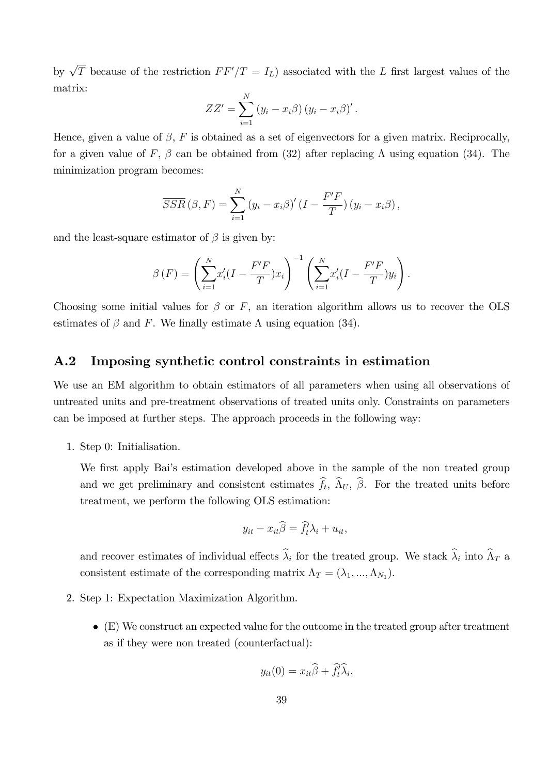by  $\sqrt{T}$  because of the restriction  $FF'/T = I_L$ ) associated with the L first largest values of the matrix:

$$
ZZ' = \sum_{i=1}^{N} (y_i - x_i \beta) (y_i - x_i \beta)'
$$

Hence, given a value of  $\beta$ , F is obtained as a set of eigenvectors for a given matrix. Reciprocally, for a given value of F,  $\beta$  can be obtained from (32) after replacing  $\Lambda$  using equation (34). The minimization program becomes:

$$
\overline{SSR}(\beta, F) = \sum_{i=1}^{N} (y_i - x_i \beta)' (I - \frac{F'F}{T}) (y_i - x_i \beta),
$$

and the least-square estimator of  $\beta$  is given by:

$$
\beta(F) = \left(\sum_{i=1}^{N} x'_i (I - \frac{F'F}{T}) x_i\right)^{-1} \left(\sum_{i=1}^{N} x'_i (I - \frac{F'F}{T}) y_i\right).
$$

Choosing some initial values for  $\beta$  or F, an iteration algorithm allows us to recover the OLS estimates of  $\beta$  and F. We finally estimate  $\Lambda$  using equation (34).

#### A.2 Imposing synthetic control constraints in estimation

We use an EM algorithm to obtain estimators of all parameters when using all observations of untreated units and pre-treatment observations of treated units only. Constraints on parameters can be imposed at further steps. The approach proceeds in the following way:

1. Step 0: Initialisation.

We first apply Bai's estimation developed above in the sample of the non treated group and we get preliminary and consistent estimates  $f_t$ ,  $\Lambda_U$ ,  $\beta$ . For the treated units before treatment, we perform the following OLS estimation:

$$
y_{it} - x_{it}\widehat{\beta} = \widehat{f}_t^{\prime} \lambda_i + u_{it},
$$

and recover estimates of individual effects  $\lambda_i$  for the treated group. We stack  $\lambda_i$  into  $\Lambda_T$  a consistent estimate of the corresponding matrix  $\Lambda_T = (\lambda_1, ..., \lambda_{N_1}).$ 

- 2. Step 1: Expectation Maximization Algorithm.
	- $\bullet$  (E) We construct an expected value for the outcome in the treated group after treatment as if they were non treated (counterfactual):

$$
y_{it}(0) = x_{it}\hat{\beta} + \hat{f}'_t\hat{\lambda}_i,
$$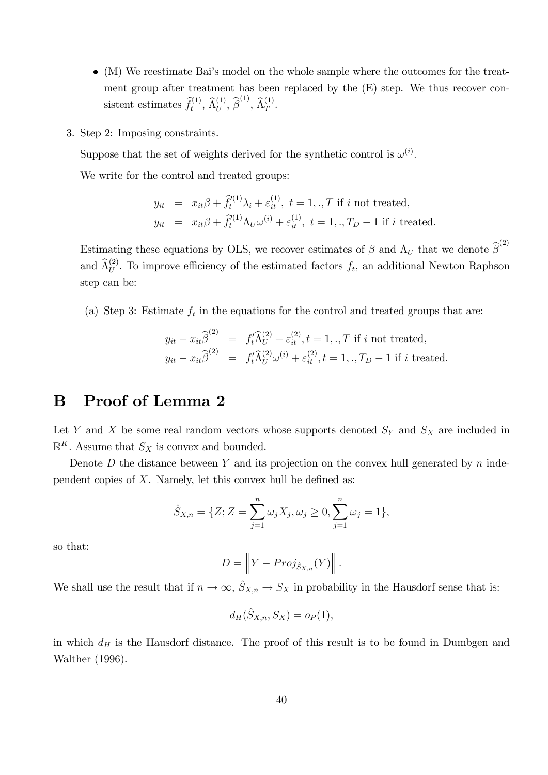- (M) We reestimate Baiís model on the whole sample where the outcomes for the treatment group after treatment has been replaced by the (E) step. We thus recover consistent estimates  $\widehat{f}_t^{(1)}$ ,  $\widehat{\Lambda}_U^{(1)}$ ,  $\widehat{\beta}^{(1)}$ ,  $\widehat{\Lambda}_T^{(1)}$ .
- 3. Step 2: Imposing constraints.

Suppose that the set of weights derived for the synthetic control is  $\omega^{(i)}$ . We write for the control and treated groups:

$$
y_{it} = x_{it}\beta + \widehat{f}_t^{(1)}\lambda_i + \varepsilon_{it}^{(1)}, t = 1, ., T \text{ if } i \text{ not treated},
$$
  

$$
y_{it} = x_{it}\beta + \widehat{f}_t^{(1)}\Lambda_U\omega^{(i)} + \varepsilon_{it}^{(1)}, t = 1, ., T_D - 1 \text{ if } i \text{ treated}.
$$

Estimating these equations by OLS, we recover estimates of  $\beta$  and  $\Lambda_U$  that we denote  $\widehat{\beta}^{(2)}$ and  $\widehat{\Lambda}_{U}^{(2)}$ . To improve efficiency of the estimated factors  $f_t$ , an additional Newton Raphson step can be:

(a) Step 3: Estimate  $f_t$  in the equations for the control and treated groups that are:

$$
y_{it} - x_{it}\hat{\beta}^{(2)} = f'_t \hat{\Lambda}_U^{(2)} + \varepsilon_{it}^{(2)}, t = 1,., T \text{ if } i \text{ not treated,}
$$
  

$$
y_{it} - x_{it}\hat{\beta}^{(2)} = f'_t \hat{\Lambda}_U^{(2)} \omega^{(i)} + \varepsilon_{it}^{(2)}, t = 1,., T_D - 1 \text{ if } i \text{ treated.}
$$

# B Proof of Lemma 2

Let Y and X be some real random vectors whose supports denoted  $S_Y$  and  $S_X$  are included in  $\mathbb{R}^K$ . Assume that  $S_X$  is convex and bounded.

Denote  $D$  the distance between  $Y$  and its projection on the convex hull generated by  $n$  independent copies of  $X$ . Namely, let this convex hull be defined as:

$$
\hat{S}_{X,n} = \{Z; Z = \sum_{j=1}^{n} \omega_j X_j, \omega_j \ge 0, \sum_{j=1}^{n} \omega_j = 1\},\
$$

so that:

$$
D=\left\|Y-Proj_{\hat{S}_{X,n}}(Y)\right\|.
$$

We shall use the result that if  $n \to \infty$ ,  $\hat{S}_{X,n} \to S_X$  in probability in the Hausdorf sense that is:

$$
d_H(\hat{S}_{X,n}, S_X) = o_P(1),
$$

in which  $d_H$  is the Hausdorf distance. The proof of this result is to be found in Dumbgen and Walther (1996).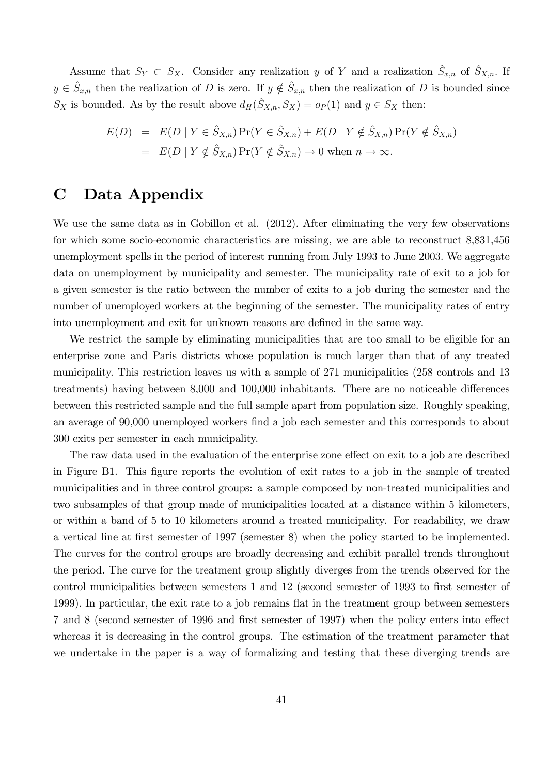Assume that  $S_Y \subset S_X$ . Consider any realization y of Y and a realization  $\hat{S}_{x,n}$  of  $\hat{S}_{X,n}$ . If  $y \in \hat{S}_{x,n}$  then the realization of D is zero. If  $y \notin \hat{S}_{x,n}$  then the realization of D is bounded since  $S_X$  is bounded. As by the result above  $d_H(\hat{S}_{X,n}, S_X) = o_P (1)$  and  $y \in S_X$  then:

$$
E(D) = E(D | Y \in \hat{S}_{X,n}) Pr(Y \in \hat{S}_{X,n}) + E(D | Y \notin \hat{S}_{X,n}) Pr(Y \notin \hat{S}_{X,n})
$$
  
= 
$$
E(D | Y \notin \hat{S}_{X,n}) Pr(Y \notin \hat{S}_{X,n}) \to 0 \text{ when } n \to \infty.
$$

# C Data Appendix

We use the same data as in Gobillon et al.  $(2012)$ . After eliminating the very few observations for which some socio-economic characteristics are missing, we are able to reconstruct 8,831,456 unemployment spells in the period of interest running from July 1993 to June 2003. We aggregate data on unemployment by municipality and semester. The municipality rate of exit to a job for a given semester is the ratio between the number of exits to a job during the semester and the number of unemployed workers at the beginning of the semester. The municipality rates of entry into unemployment and exit for unknown reasons are defined in the same way.

We restrict the sample by eliminating municipalities that are too small to be eligible for an enterprise zone and Paris districts whose population is much larger than that of any treated municipality. This restriction leaves us with a sample of 271 municipalities (258 controls and 13 treatments) having between 8,000 and 100,000 inhabitants. There are no noticeable differences between this restricted sample and the full sample apart from population size. Roughly speaking, an average of 90,000 unemployed workers find a job each semester and this corresponds to about 300 exits per semester in each municipality.

The raw data used in the evaluation of the enterprise zone effect on exit to a job are described in Figure B1. This Ögure reports the evolution of exit rates to a job in the sample of treated municipalities and in three control groups: a sample composed by non-treated municipalities and two subsamples of that group made of municipalities located at a distance within 5 kilometers, or within a band of 5 to 10 kilometers around a treated municipality. For readability, we draw a vertical line at first semester of 1997 (semester 8) when the policy started to be implemented. The curves for the control groups are broadly decreasing and exhibit parallel trends throughout the period. The curve for the treatment group slightly diverges from the trends observed for the control municipalities between semesters 1 and 12 (second semester of 1993 to first semester of 1999). In particular, the exit rate to a job remains áat in the treatment group between semesters 7 and 8 (second semester of 1996 and first semester of 1997) when the policy enters into effect whereas it is decreasing in the control groups. The estimation of the treatment parameter that we undertake in the paper is a way of formalizing and testing that these diverging trends are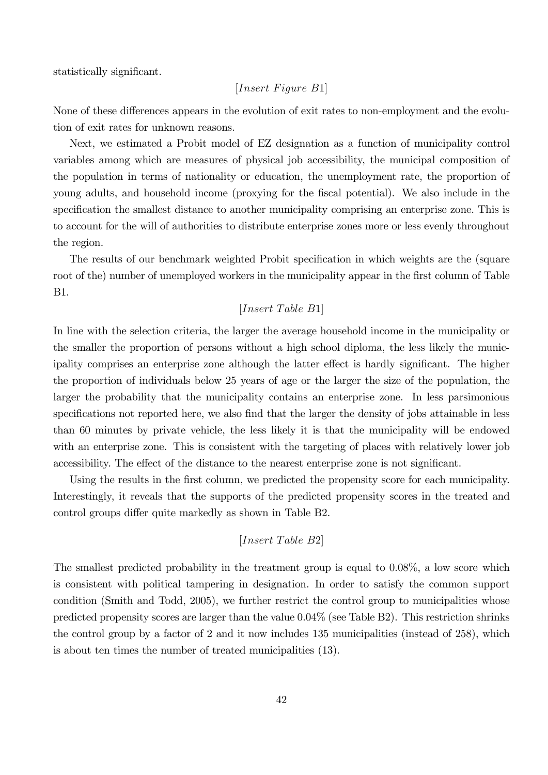statistically significant.

 $[Insert \, Figure \, B1]$ 

None of these differences appears in the evolution of exit rates to non-employment and the evolution of exit rates for unknown reasons.

Next, we estimated a Probit model of EZ designation as a function of municipality control variables among which are measures of physical job accessibility, the municipal composition of the population in terms of nationality or education, the unemployment rate, the proportion of young adults, and household income (proxying for the fiscal potential). We also include in the specification the smallest distance to another municipality comprising an enterprise zone. This is to account for the will of authorities to distribute enterprise zones more or less evenly throughout the region.

The results of our benchmark weighted Probit specification in which weights are the (square root of the) number of unemployed workers in the municipality appear in the first column of Table B1.

#### $[Insert\ Table\ B1]$

In line with the selection criteria, the larger the average household income in the municipality or the smaller the proportion of persons without a high school diploma, the less likely the municipality comprises an enterprise zone although the latter effect is hardly significant. The higher the proportion of individuals below 25 years of age or the larger the size of the population, the larger the probability that the municipality contains an enterprise zone. In less parsimonious specifications not reported here, we also find that the larger the density of jobs attainable in less than 60 minutes by private vehicle, the less likely it is that the municipality will be endowed with an enterprise zone. This is consistent with the targeting of places with relatively lower job accessibility. The effect of the distance to the nearest enterprise zone is not significant.

Using the results in the first column, we predicted the propensity score for each municipality. Interestingly, it reveals that the supports of the predicted propensity scores in the treated and control groups differ quite markedly as shown in Table B2.

#### $[Insert\ Table\ B2]$

The smallest predicted probability in the treatment group is equal to 0.08%, a low score which is consistent with political tampering in designation. In order to satisfy the common support condition (Smith and Todd, 2005), we further restrict the control group to municipalities whose predicted propensity scores are larger than the value 0.04% (see Table B2). This restriction shrinks the control group by a factor of 2 and it now includes 135 municipalities (instead of 258), which is about ten times the number of treated municipalities (13).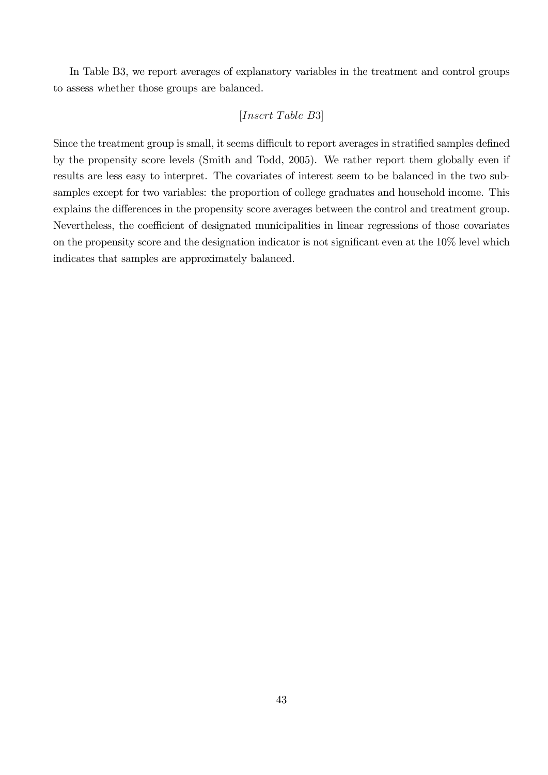In Table B3, we report averages of explanatory variables in the treatment and control groups to assess whether those groups are balanced.

#### [Insert Table B3]

Since the treatment group is small, it seems difficult to report averages in stratified samples defined by the propensity score levels (Smith and Todd, 2005). We rather report them globally even if results are less easy to interpret. The covariates of interest seem to be balanced in the two subsamples except for two variables: the proportion of college graduates and household income. This explains the differences in the propensity score averages between the control and treatment group. Nevertheless, the coefficient of designated municipalities in linear regressions of those covariates on the propensity score and the designation indicator is not significant even at the  $10\%$  level which indicates that samples are approximately balanced.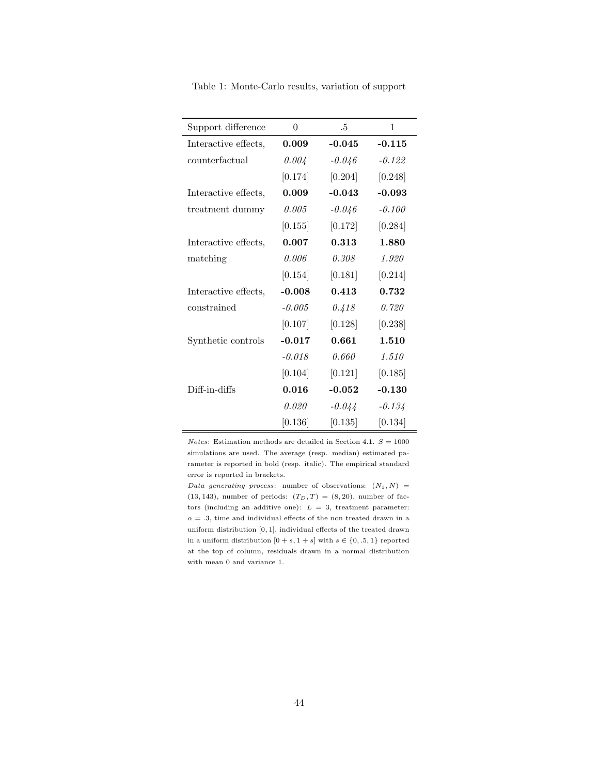| Support difference   | $\overline{0}$ | $.5\,$   | 1        |
|----------------------|----------------|----------|----------|
| Interactive effects. | 0.009          | $-0.045$ | $-0.115$ |
| counterfactual       | 0.004          | $-0.046$ | $-0.122$ |
|                      | [0.174]        | [0.204]  | [0.248]  |
| Interactive effects, | 0.009          | $-0.043$ | $-0.093$ |
| treatment dummy      | 0.005          | $-0.046$ | $-0.100$ |
|                      | [0.155]        | [0.172]  | [0.284]  |
| Interactive effects. | 0.007          | 0.313    | 1.880    |
| matching             | 0.006          | 0.308    | 1.920    |
|                      | [0.154]        | [0.181]  | [0.214]  |
| Interactive effects. | $-0.008$       | 0.413    | 0.732    |
| constrained          | $-0.005$       | 0.418    | 0.720    |
|                      | [0.107]        | [0.128]  | [0.238]  |
| Synthetic controls   | $-0.017$       | 0.661    | 1.510    |
|                      | $-0.018$       | 0.660    | 1.510    |
|                      | [0.104]        | [0.121]  | [0.185]  |
| Diff-in-diffs        | 0.016          | $-0.052$ | $-0.130$ |
|                      | 0.020          | $-0.044$ | $-0.134$ |
|                      | [0.136]        | [0.135]  | [0.134]  |

Table 1: Monte-Carlo results, variation of support

*Notes*: Estimation methods are detailed in Section 4.1.  $S = 1000$ simulations are used. The average (resp. median) estimated parameter is reported in bold (resp. italic). The empirical standard error is reported in brackets.

Data generating process: number of observations:  $(N_1, N)$  =  $(13, 143)$ , number of periods:  $(T_D, T) = (8, 20)$ , number of factors (including an additive one):  $L = 3$ , treatment parameter:  $\alpha = .3$ , time and individual effects of the non treated drawn in a uniform distribution [0, 1], individual effects of the treated drawn in a uniform distribution  $[0 + s, 1 + s]$  with  $s \in \{0, .5, 1\}$  reported at the top of column, residuals drawn in a normal distribution with mean 0 and variance 1.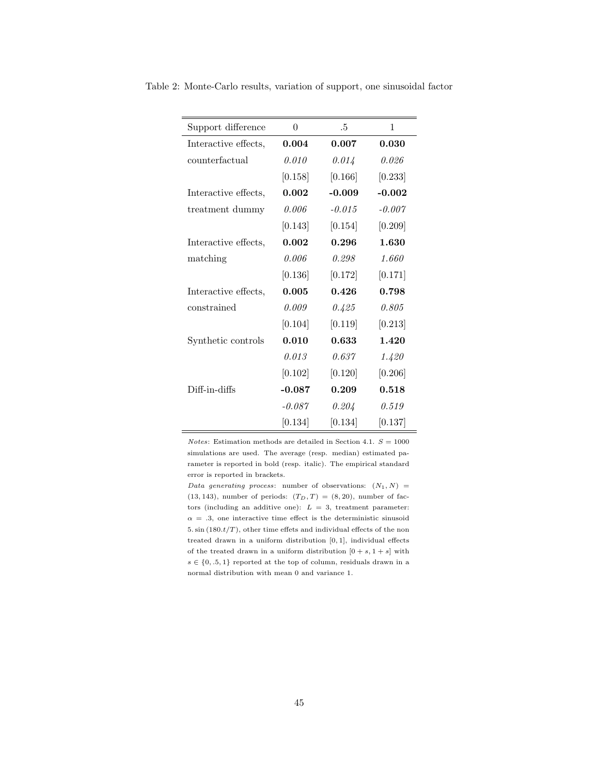| Support difference   | $\overline{0}$ | .5       | 1        |
|----------------------|----------------|----------|----------|
| Interactive effects. | 0.004          | 0.007    | 0.030    |
| counterfactual       | 0.010          | 0.014    | 0.026    |
|                      | [0.158]        | [0.166]  | [0.233]  |
| Interactive effects, | 0.002          | $-0.009$ | $-0.002$ |
| treatment dummy      | 0.006          | $-0.015$ | $-0.007$ |
|                      | [0.143]        | [0.154]  | [0.209]  |
| Interactive effects, | 0.002          | 0.296    | 1.630    |
| matching             | 0.006          | 0.298    | 1.660    |
|                      | [0.136]        | [0.172]  | [0.171]  |
| Interactive effects, | 0.005          | 0.426    | 0.798    |
| constrained          | 0.009          | 0.425    | 0.805    |
|                      | [0.104]        | [0.119]  | [0.213]  |
| Synthetic controls   | 0.010          | 0.633    | 1.420    |
|                      | 0.013          | 0.637    | 1.420    |
|                      | [0.102]        | [0.120]  | [0.206]  |
| Diff-in-diffs        | $-0.087$       | 0.209    | 0.518    |
|                      | $-0.087$       | 0.204    | 0.519    |
|                      | [0.134]        | [0.134]  | [0.137]  |

Table 2: Monte-Carlo results, variation of support, one sinusoidal factor

*Notes*: Estimation methods are detailed in Section 4.1.  $S = 1000$ simulations are used. The average (resp. median) estimated parameter is reported in bold (resp. italic). The empirical standard error is reported in brackets.

Data generating process: number of observations:  $(N_1, N)$  =  $(13, 143)$ , number of periods:  $(T_D, T) = (8, 20)$ , number of factors (including an additive one):  $L = 3$ , treatment parameter:  $\alpha = .3$ , one interactive time effect is the deterministic sinusoid 5. sin  $(180 \cdot t/T)$ , other time effets and individual effects of the non treated drawn in a uniform distribution [0, 1], individual effects of the treated drawn in a uniform distribution  $[0 + s, 1 + s]$  with  $s \in \{0, .5, 1\}$  reported at the top of column, residuals drawn in a normal distribution with mean 0 and variance 1.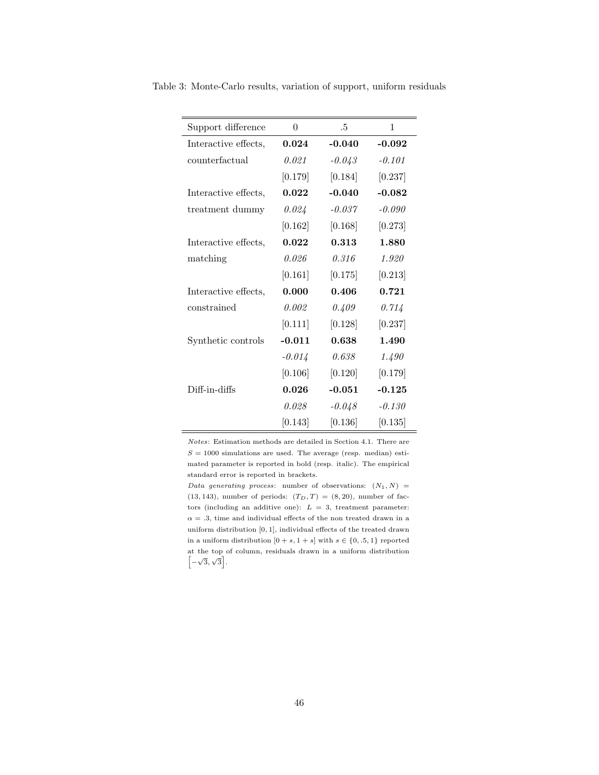| Support difference   | $\overline{0}$ | $.5\,$   | 1        |
|----------------------|----------------|----------|----------|
| Interactive effects. | 0.024          | $-0.040$ | $-0.092$ |
| counterfactual       | 0.021          | $-0.043$ | $-0.101$ |
|                      | [0.179]        | [0.184]  | [0.237]  |
| Interactive effects, | 0.022          | $-0.040$ | $-0.082$ |
| treatment dummy      | 0.024          | $-0.037$ | $-0.090$ |
|                      | [0.162]        | [0.168]  | [0.273]  |
| Interactive effects, | 0.022          | 0.313    | 1.880    |
| matching             | 0.026          | 0.316    | 1.920    |
|                      | [0.161]        | [0.175]  | [0.213]  |
| Interactive effects, | 0.000          | 0.406    | 0.721    |
| constrained          | 0.002          | 0.409    | 0.714    |
|                      | [0.111]        | [0.128]  | [0.237]  |
| Synthetic controls   | $-0.011$       | 0.638    | 1.490    |
|                      | $-0.014$       | 0.638    | 1.490    |
|                      | [0.106]        | [0.120]  | [0.179]  |
| Diff-in-diffs        | 0.026          | $-0.051$ | $-0.125$ |
|                      | 0.028          | $-0.048$ | $-0.130$ |
|                      | [0.143]        | [0.136]  | [0.135]  |

Table 3: Monte-Carlo results, variation of support, uniform residuals

Notes: Estimation methods are detailed in Section 4.1. There are  $S = 1000$  simulations are used. The average (resp. median) estimated parameter is reported in bold (resp. italic). The empirical standard error is reported in brackets.

Data generating process: number of observations:  $(N_1, N)$  = (13, 143), number of periods:  $(T_D, T) = (8, 20)$ , number of factors (including an additive one):  $L = 3$ , treatment parameter:  $\alpha = .3$ , time and individual effects of the non treated drawn in a uniform distribution [0, 1], individual effects of the treated drawn in a uniform distribution  $[0 + s, 1 + s]$  with  $s \in \{0, .5, 1\}$  reported at the top of column, residuals drawn in a uniform distribution  $\left[-\sqrt{3},\sqrt{3}\right]$ .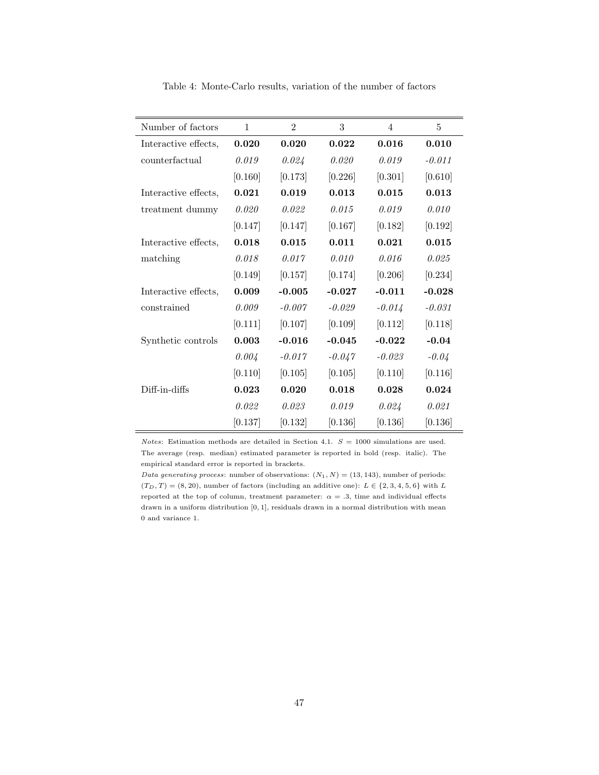| Number of factors    | $\mathbf 1$ | $\overline{2}$ | 3        | $\overline{4}$ | 5        |
|----------------------|-------------|----------------|----------|----------------|----------|
| Interactive effects, | 0.020       | 0.020          | 0.022    | 0.016          | 0.010    |
| counterfactual       | 0.019       | 0.024          | 0.020    | 0.019          | $-0.011$ |
|                      | [0.160]     | [0.173]        | [0.226]  | [0.301]        | [0.610]  |
| Interactive effects, | 0.021       | 0.019          | 0.013    | 0.015          | 0.013    |
| treatment dummy      | 0.020       | 0.022          | 0.015    | 0.019          | 0.010    |
|                      | [0.147]     | [0.147]        | [0.167]  | [0.182]        | [0.192]  |
| Interactive effects, | 0.018       | 0.015          | 0.011    | 0.021          | 0.015    |
| matching             | 0.018       | 0.017          | 0.010    | 0.016          | 0.025    |
|                      | [0.149]     | [0.157]        | [0.174]  | [0.206]        | [0.234]  |
| Interactive effects, | 0.009       | $-0.005$       | $-0.027$ | $-0.011$       | $-0.028$ |
| constrained          | 0.009       | $-0.007$       | $-0.029$ | $-0.014$       | $-0.031$ |
|                      | [0.111]     | [0.107]        | [0.109]  | [0.112]        | [0.118]  |
| Synthetic controls   | 0.003       | $-0.016$       | $-0.045$ | $-0.022$       | $-0.04$  |
|                      | 0.004       | $-0.017$       | $-0.047$ | $-0.023$       | $-0.04$  |
|                      | [0.110]     | [0.105]        | [0.105]  | [0.110]        | [0.116]  |
| Diff-in-diffs        | 0.023       | 0.020          | 0.018    | 0.028          | 0.024    |
|                      | 0.022       | 0.023          | 0.019    | 0.024          | 0.021    |
|                      | [0.137]     | [0.132]        | [0.136]  | [0.136]        | [0.136]  |

Table 4: Monte-Carlo results, variation of the number of factors

*Notes*: Estimation methods are detailed in Section 4.1.  $S = 1000$  simulations are used. The average (resp. median) estimated parameter is reported in bold (resp. italic). The empirical standard error is reported in brackets.

Data generating process: number of observations:  $(N_1, N) = (13, 143)$ , number of periods:  $(T_D, T) = (8, 20)$ , number of factors (including an additive one):  $L \in \{2, 3, 4, 5, 6\}$  with L reported at the top of column, treatment parameter:  $\alpha = .3$ , time and individual effects drawn in a uniform distribution [0, 1], residuals drawn in a normal distribution with mean 0 and variance 1.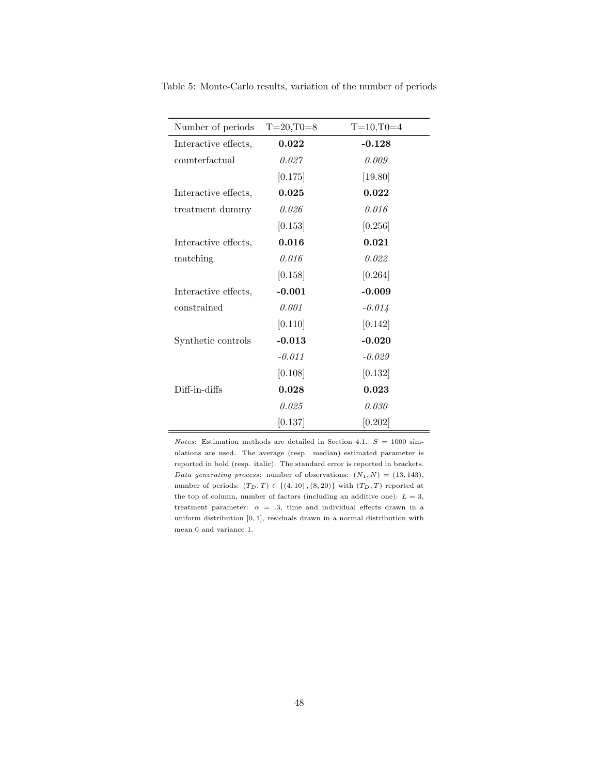| Number of periods    | $T=20, T0=8$ | $T=10, T0=4$ |
|----------------------|--------------|--------------|
| Interactive effects, | 0.022        | $-0.128$     |
| counterfactual       | 0.027        | 0.009        |
|                      | [0.175]      | [19.80]      |
| Interactive effects, | 0.025        | 0.022        |
| treatment dummy      | 0.026        | 0.016        |
|                      | [0.153]      | [0.256]      |
| Interactive effects. | 0.016        | 0.021        |
| matching             | 0.016        | 0.022        |
|                      | [0.158]      | [0.264]      |
| Interactive effects, | $-0.001$     | $-0.009$     |
| constrained          | 0.001        | $-0.014$     |
|                      | [0.110]      | [0.142]      |
| Synthetic controls   | $-0.013$     | $-0.020$     |
|                      | $-0.011$     | $-0.029$     |
|                      | [0.108]      | [0.132]      |
| Diff-in-diffs        | 0.028        | 0.023        |
|                      | 0.025        | 0.030        |
|                      | [0.137]      | [0.202]      |

Table 5: Monte-Carlo results, variation of the number of periods

Notes: Estimation methods are detailed in Section 4.1.  $S = 1000$  simulations are used. The average (resp. median) estimated parameter is reported in bold (resp. italic). The standard error is reported in brackets. Data generating process: number of observations:  $(N_1, N) = (13, 143),$ number of periods:  $(T_D, T) \in \{(4, 10), (8, 20)\}\$  with  $(T_D, T)$  reported at the top of column, number of factors (including an additive one):  $L = 3$ , treatment parameter:  $\alpha = .3$ , time and individual effects drawn in a uniform distribution [0, 1], residuals drawn in a normal distribution with mean 0 and variance 1.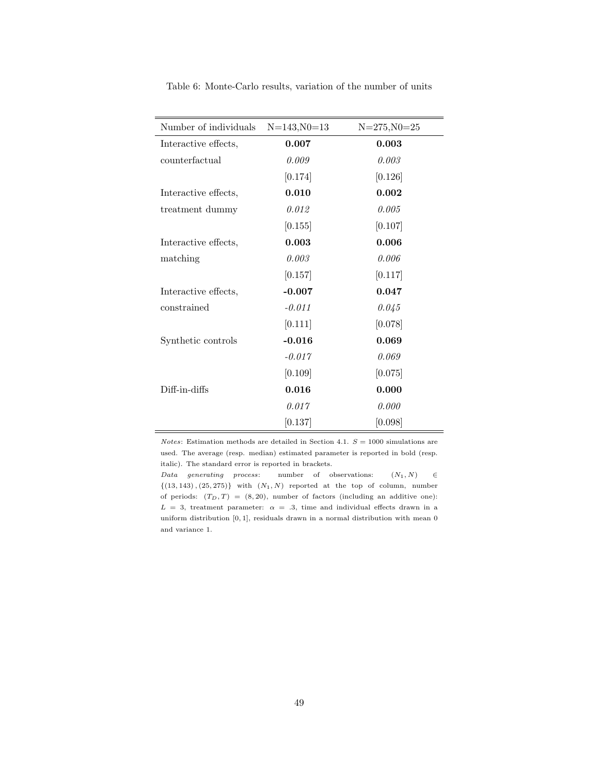| Number of individuals | $N=143, N0=13$ | $N = 275, N0 = 25$ |
|-----------------------|----------------|--------------------|
| Interactive effects,  | 0.007          | 0.003              |
| counterfactual        | 0.009          | 0.003              |
|                       | [0.174]        | [0.126]            |
| Interactive effects,  | 0.010          | 0.002              |
| treatment dummy       | 0.012          | 0.005              |
|                       | [0.155]        | [0.107]            |
| Interactive effects,  | 0.003          | 0.006              |
| matching              | 0.003          | 0.006              |
|                       | [0.157]        | [0.117]            |
| Interactive effects,  | $-0.007$       | 0.047              |
| constrained           | $-0.011$       | 0.045              |
|                       | [0.111]        | [0.078]            |
| Synthetic controls    | $-0.016$       | 0.069              |
|                       | $-0.017$       | 0.069              |
|                       | [0.109]        | [0.075]            |
| Diff-in-diffs         | 0.016          | 0.000              |
|                       | 0.017          | 0.000              |
|                       | [0.137]        | [0.098]            |

Table 6: Monte-Carlo results, variation of the number of units

*Notes*: Estimation methods are detailed in Section 4.1.  $S = 1000$  simulations are used. The average (resp. median) estimated parameter is reported in bold (resp. italic). The standard error is reported in brackets.

Data generating process: number of observations:  $(N_1, N) \in$  $\{(13, 143), (25, 275)\}\$  with  $(N_1, N)$  reported at the top of column, number of periods:  $(T_D, T) = (8, 20)$ , number of factors (including an additive one):  $L = 3$ , treatment parameter:  $\alpha = .3$ , time and individual effects drawn in a uniform distribution [0, 1], residuals drawn in a normal distribution with mean 0 and variance 1.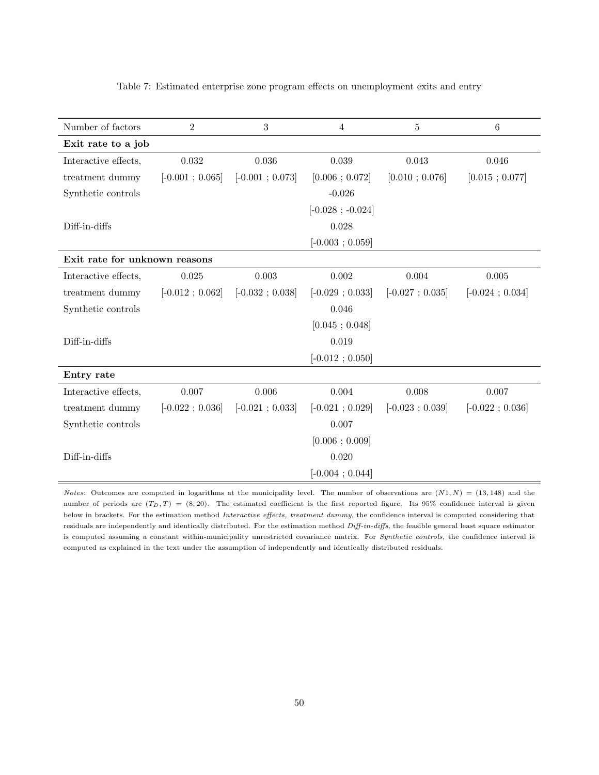| Number of factors             | $\overline{2}$    | 3                 | 4                  | 5                 | $\,6\,$           |
|-------------------------------|-------------------|-------------------|--------------------|-------------------|-------------------|
| Exit rate to a job            |                   |                   |                    |                   |                   |
| Interactive effects,          | 0.032             | 0.036             | 0.039              | 0.043             | 0.046             |
| treatment dummy               | $[-0.001; 0.065]$ | $[-0.001; 0.073]$ | [0.006; 0.072]     | [0.010; 0.076]    | [0.015; 0.077]    |
| Synthetic controls            |                   |                   | $-0.026$           |                   |                   |
|                               |                   |                   | $[-0.028; -0.024]$ |                   |                   |
| Diff-in-diffs                 |                   |                   | 0.028              |                   |                   |
|                               |                   |                   | $[-0.003; 0.059]$  |                   |                   |
| Exit rate for unknown reasons |                   |                   |                    |                   |                   |
| Interactive effects,          | 0.025             | 0.003             | 0.002              | 0.004             | 0.005             |
| treatment dummy               | $[-0.012; 0.062]$ | $[-0.032; 0.038]$ | $[-0.029; 0.033]$  | $[-0.027:0.035]$  | $[-0.024; 0.034]$ |
| Synthetic controls            |                   |                   | 0.046              |                   |                   |
|                               |                   |                   | [0.045:0.048]      |                   |                   |
| Diff-in-diffs                 |                   |                   | 0.019              |                   |                   |
|                               |                   |                   | $[-0.012; 0.050]$  |                   |                   |
| Entry rate                    |                   |                   |                    |                   |                   |
| Interactive effects,          | 0.007             | 0.006             | 0.004              | 0.008             | 0.007             |
| treatment dummy               | $[-0.022; 0.036]$ | $[-0.021; 0.033]$ | $[-0.021; 0.029]$  | $[-0.023; 0.039]$ | $[-0.022; 0.036]$ |
| Synthetic controls            |                   |                   | 0.007              |                   |                   |
|                               |                   |                   | [0.006; 0.009]     |                   |                   |
| Diff-in-diffs                 |                   |                   | 0.020              |                   |                   |
|                               |                   |                   | $[-0.004; 0.044]$  |                   |                   |

Table 7: Estimated enterprise zone program effects on unemployment exits and entry

Notes: Outcomes are computed in logarithms at the municipality level. The number of observations are  $(N1, N) = (13, 148)$  and the number of periods are  $(T_D, T) = (8, 20)$ . The estimated coefficient is the first reported figure. Its 95% confidence interval is given below in brackets. For the estimation method Interactive effects, treatment dummy, the confidence interval is computed considering that residuals are independently and identically distributed. For the estimation method  $Diff-in-diffs$ , the feasible general least square estimator is computed assuming a constant within-municipality unrestricted covariance matrix. For Synthetic controls, the confidence interval is computed as explained in the text under the assumption of independently and identically distributed residuals.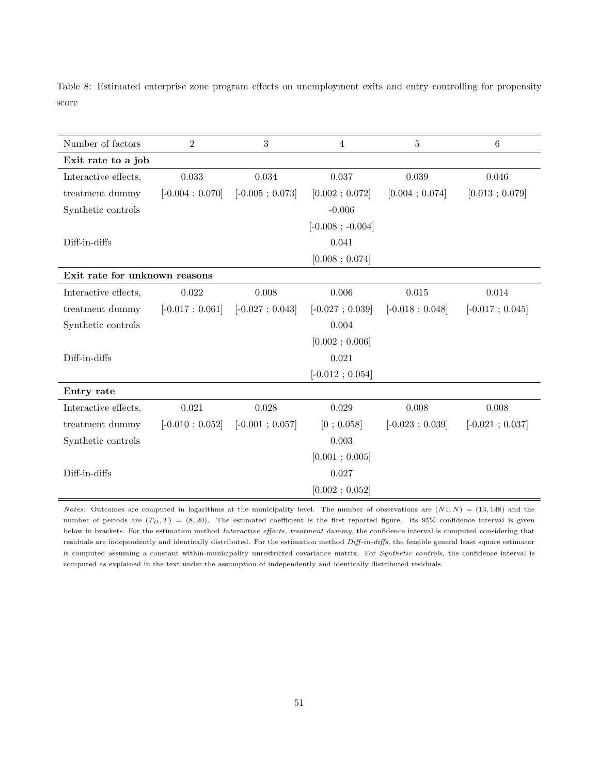| Number of factors             | $\overline{2}$    | $\sqrt{3}$        | $\overline{4}$     | $\bf 5$           | $\,6\,$           |
|-------------------------------|-------------------|-------------------|--------------------|-------------------|-------------------|
| Exit rate to a job            |                   |                   |                    |                   |                   |
| Interactive effects,          | 0.033             | 0.034             | 0.037              | 0.039             | 0.046             |
| treatment dummy               | $[-0.004; 0.070]$ | $[-0.005; 0.073]$ | [0.002; 0.072]     | [0.004; 0.074]    | [0.013; 0.079]    |
| Synthetic controls            |                   |                   | $-0.006$           |                   |                   |
|                               |                   |                   | $[-0.008; -0.004]$ |                   |                   |
| Diff-in-diffs                 |                   |                   | 0.041              |                   |                   |
|                               |                   |                   | [0.008; 0.074]     |                   |                   |
| Exit rate for unknown reasons |                   |                   |                    |                   |                   |
| Interactive effects,          | 0.022             | 0.008             | 0.006              | 0.015             | 0.014             |
| treatment dummy               | $[-0.017; 0.061]$ | $[-0.027; 0.043]$ | $[-0.027; 0.039]$  | $[-0.018:0.048]$  | $[-0.017; 0.045]$ |
| Synthetic controls            |                   |                   | 0.004              |                   |                   |
|                               |                   |                   | [0.002; 0.006]     |                   |                   |
| Diff-in-diffs                 |                   |                   | 0.021              |                   |                   |
|                               |                   |                   | $[-0.012; 0.054]$  |                   |                   |
| Entry rate                    |                   |                   |                    |                   |                   |
| Interactive effects,          | 0.021             | 0.028             | 0.029              | 0.008             | 0.008             |
| treatment dummy               | $[-0.010; 0.052]$ | $[-0.001; 0.057]$ | [0:0.058]          | $[-0.023; 0.039]$ | $[-0.021; 0.037]$ |
| Synthetic controls            |                   |                   | 0.003              |                   |                   |
|                               |                   |                   | [0.001; 0.005]     |                   |                   |
| Diff-in-diffs                 |                   |                   | 0.027              |                   |                   |
|                               |                   |                   | [0.002, 0.052]     |                   |                   |

Table 8: Estimated enterprise zone program effects on unemployment exits and entry controlling for propensity score

*Notes*: Outcomes are computed in logarithms at the municipality level. The number of observations are  $(N1, N) = (13, 148)$  and the number of periods are  $(T_D, T) = (8, 20)$ . The estimated coefficient is the first reported figure. Its 95% confidence interval is given below in brackets. For the estimation method Interactive effects, treatment dummy, the confidence interval is computed considering that residuals are independently and identically distributed. For the estimation method Diff-in-diffs, the feasible general least square estimator is computed assuming a constant within-municipality unrestricted covariance matrix. For Synthetic controls, the confidence interval is computed as explained in the text under the assumption of independently and identically distributed residuals.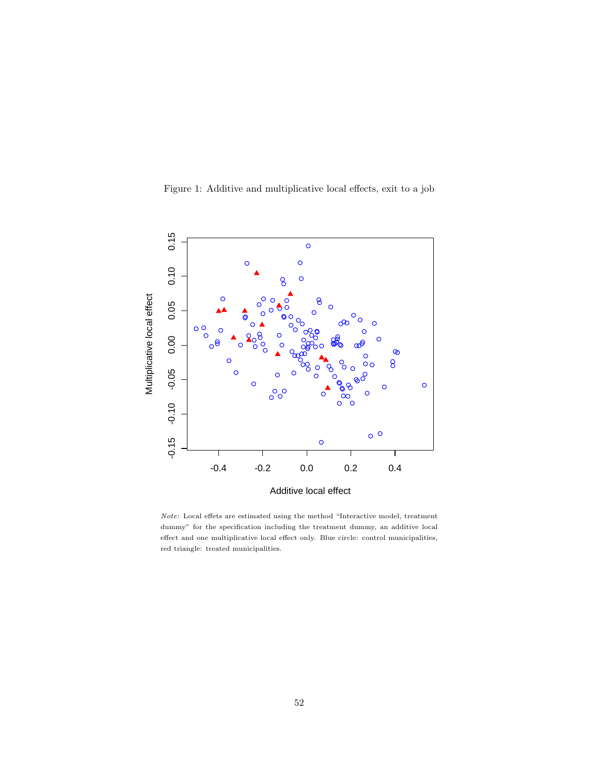



Note: Local effets are estimated using the method "Interactive model, treatment dummy" for the specification including the treatment dummy, an additive local effect and one multiplicative local effect only. Blue circle: control municipalities, red triangle: treated municipalities.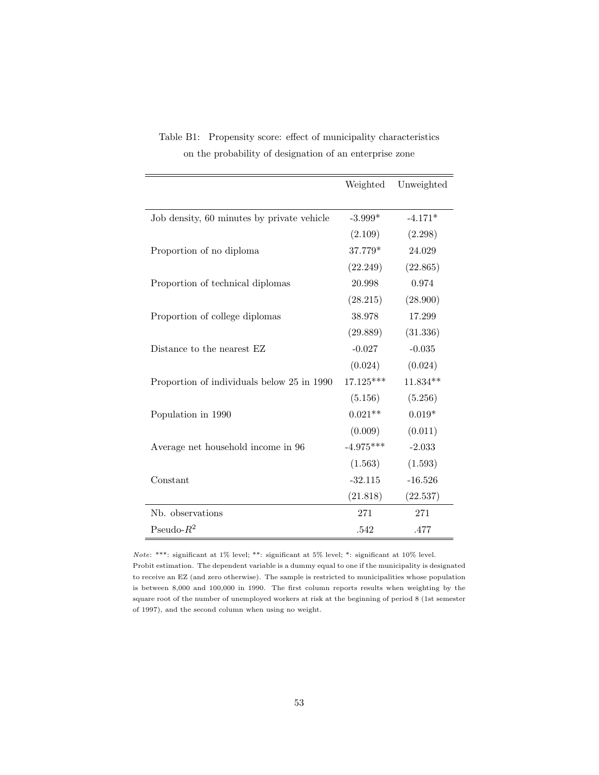|                                            | Weighted    | Unweighted |
|--------------------------------------------|-------------|------------|
|                                            |             |            |
| Job density, 60 minutes by private vehicle | $-3.999*$   | $-4.171*$  |
|                                            | (2.109)     | (2.298)    |
| Proportion of no diploma                   | 37.779*     | 24.029     |
|                                            | (22.249)    | (22.865)   |
| Proportion of technical diplomas           | 20.998      | 0.974      |
|                                            | (28.215)    | (28.900)   |
| Proportion of college diplomas             | 38.978      | 17.299     |
|                                            | (29.889)    | (31.336)   |
| Distance to the nearest EZ                 | $-0.027$    | $-0.035$   |
|                                            | (0.024)     | (0.024)    |
| Proportion of individuals below 25 in 1990 | 17.125***   | 11.834**   |
|                                            | (5.156)     | (5.256)    |
| Population in 1990                         | $0.021**$   | $0.019*$   |
|                                            | (0.009)     | (0.011)    |
| Average net household income in 96         | $-4.975***$ | $-2.033$   |
|                                            | (1.563)     | (1.593)    |
| Constant                                   | $-32.115$   | $-16.526$  |
|                                            | (21.818)    | (22.537)   |
| Nb. observations                           | 271         | 271        |
| Pseudo- $R^2$                              | .542        | .477       |

Table B1: Propensity score: effect of municipality characteristics on the probability of designation of an enterprise zone

Note: \*\*\*: significant at 1% level; \*\*: significant at 5% level; \*: significant at 10% level. Probit estimation. The dependent variable is a dummy equal to one if the municipality is designated to receive an EZ (and zero otherwise). The sample is restricted to municipalities whose population is between 8,000 and 100,000 in 1990. The first column reports results when weighting by the square root of the number of unemployed workers at risk at the beginning of period 8 (1st semester of 1997), and the second column when using no weight.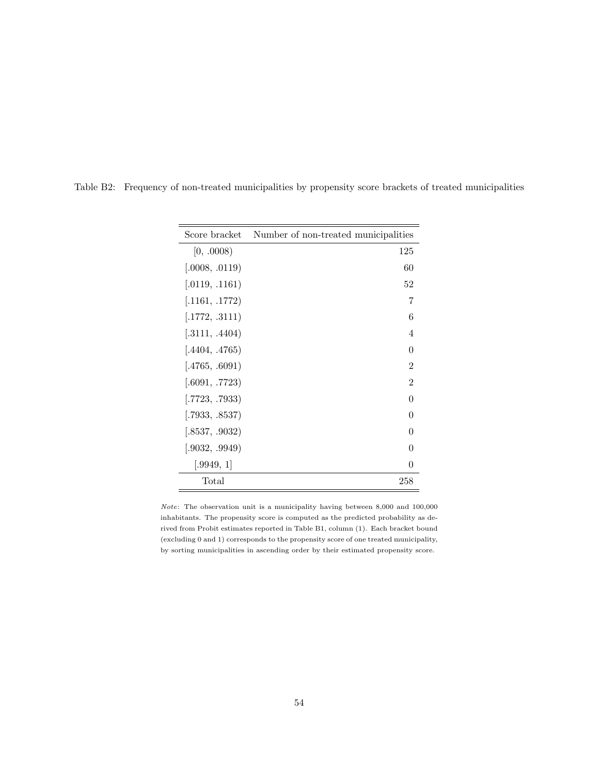| Score bracket  | Number of non-treated municipalities |
|----------------|--------------------------------------|
| [0, .0008)     | 125                                  |
| (.0008, .0119) | 60                                   |
| [.0119, .1161) | 52                                   |
| [.1161, .1772) | 7                                    |
| (.1772, .3111) | 6                                    |
| (.3111, .4404) | $\overline{4}$                       |
| [.4404, .4765) | 0                                    |
| [.4765, .6091) | $\overline{2}$                       |
| (.6091, .7723) | $\overline{2}$                       |
| (.7723, .7933) | 0                                    |
| (.7933, .8537) | $\left( \right)$                     |
| (.8537, .9032) | 0                                    |
| (.9032, .9949) | 0                                    |
| [.9949, 1]     | 0                                    |
| Total          | 258                                  |

Table B2: Frequency of non-treated municipalities by propensity score brackets of treated municipalities

Note: The observation unit is a municipality having between 8,000 and 100,000 inhabitants. The propensity score is computed as the predicted probability as derived from Probit estimates reported in Table B1, column (1). Each bracket bound (excluding 0 and 1) corresponds to the propensity score of one treated municipality, by sorting municipalities in ascending order by their estimated propensity score.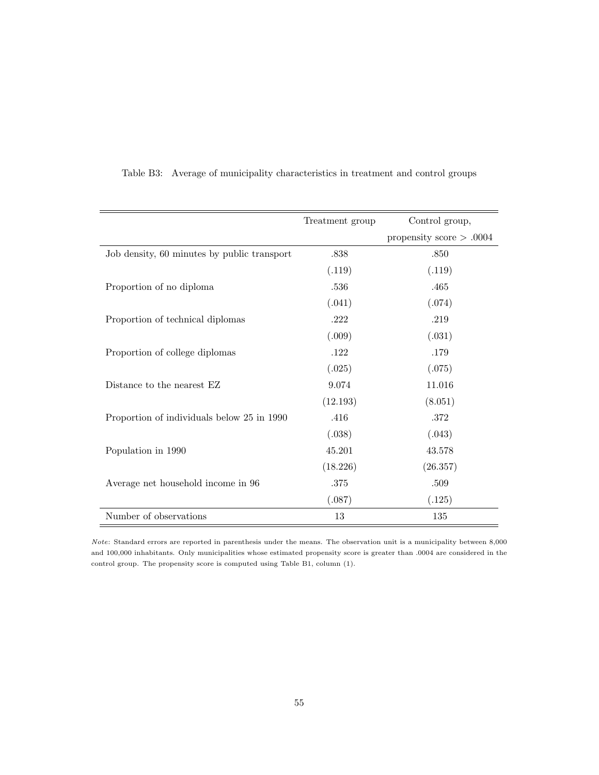|                                             | Treatment group | Control group,             |
|---------------------------------------------|-----------------|----------------------------|
|                                             |                 | propensity score $> .0004$ |
| Job density, 60 minutes by public transport | .838            | .850                       |
|                                             | (.119)          | (.119)                     |
| Proportion of no diploma                    | .536            | .465                       |
|                                             | (.041)          | (.074)                     |
| Proportion of technical diplomas            | .222            | .219                       |
|                                             | (.009)          | (.031)                     |
| Proportion of college diplomas              | .122            | .179                       |
|                                             | (.025)          | (.075)                     |
| Distance to the nearest EZ                  | 9.074           | 11.016                     |
|                                             | (12.193)        | (8.051)                    |
| Proportion of individuals below 25 in 1990  | .416            | .372                       |
|                                             | (.038)          | (.043)                     |
| Population in 1990                          | 45.201          | 43.578                     |
|                                             | (18.226)        | (26.357)                   |
| Average net household income in 96          | .375            | .509                       |
|                                             | (.087)          | (.125)                     |
| Number of observations                      | 13              | 135                        |

Table B3: Average of municipality characteristics in treatment and control groups

Note: Standard errors are reported in parenthesis under the means. The observation unit is a municipality between 8,000 and 100,000 inhabitants. Only municipalities whose estimated propensity score is greater than .0004 are considered in the control group. The propensity score is computed using Table B1, column (1).